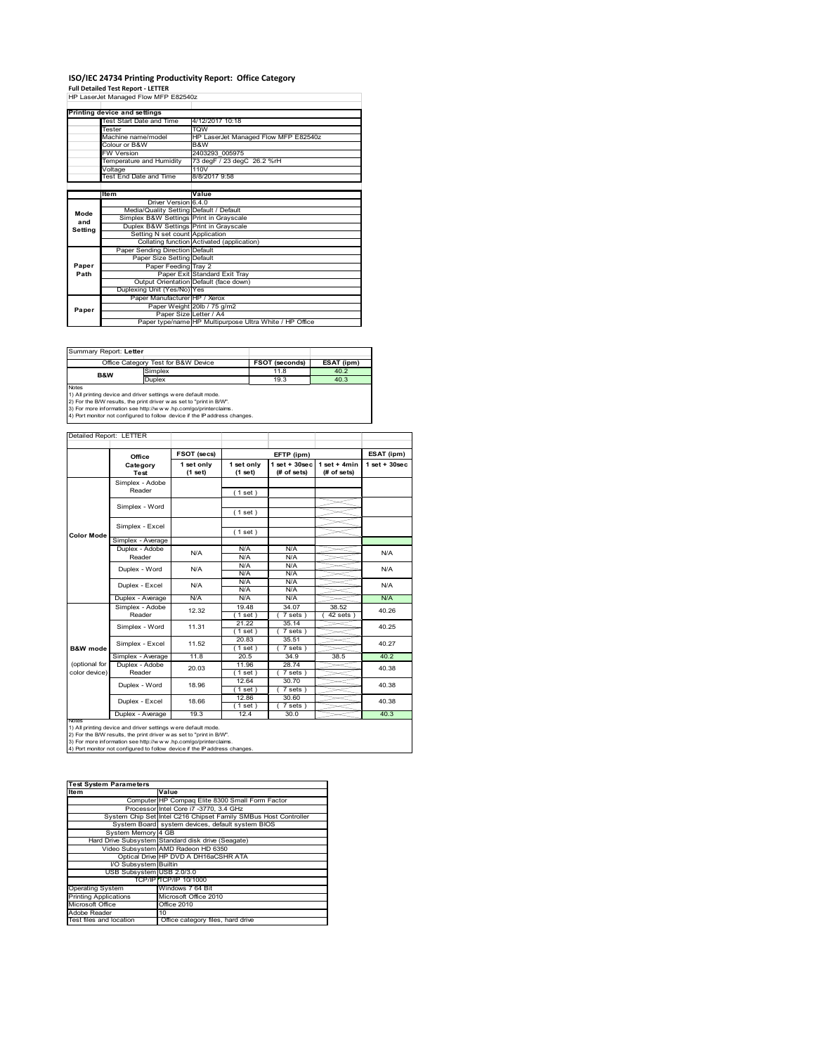# **ISO/IEC 24734 Printing Productivity Report: Office Category Full Detailed Test Report ‐ LETTER** HP LaserJet Managed Flow MFP E82540z

|         | Printing device and settings            |                                                         |  |  |
|---------|-----------------------------------------|---------------------------------------------------------|--|--|
|         | Test Start Date and Time                | 4/12/2017 10:18                                         |  |  |
|         | <b>Tester</b>                           | <b>TOW</b>                                              |  |  |
|         | Machine name/model                      | HP LaserJet Managed Flow MFP E82540z                    |  |  |
|         | Colour or B&W                           | B&W                                                     |  |  |
|         | <b>FW Version</b>                       | 2403293 005975                                          |  |  |
|         | Temperature and Humidity                | 73 degF / 23 degC 26.2 %rH                              |  |  |
|         | Voltage                                 | 110V                                                    |  |  |
|         | <b>Test End Date and Time</b>           | 8/8/2017 9:58                                           |  |  |
|         |                                         |                                                         |  |  |
|         | Item                                    | Value                                                   |  |  |
|         | Driver Version 6.4.0                    |                                                         |  |  |
| Mode    | Media/Quality Setting Default / Default |                                                         |  |  |
| and     | Simplex B&W Settings Print in Grayscale |                                                         |  |  |
|         | Duplex B&W Settings Print in Grayscale  |                                                         |  |  |
| Setting | Setting N set count Application         |                                                         |  |  |
|         |                                         | Collating function Activated (application)              |  |  |
|         | Paper Sending Direction Default         |                                                         |  |  |
|         | Paper Size Setting Default              |                                                         |  |  |
| Paper   | Paper Feeding Tray 2                    |                                                         |  |  |
| Path    |                                         | Paper Exit Standard Exit Tray                           |  |  |
|         |                                         | Output Orientation Default (face down)                  |  |  |
|         | Duplexing Unit (Yes/No) Yes             |                                                         |  |  |
|         | Paper Manufacturer HP / Xerox           |                                                         |  |  |
| Paper   |                                         | Paper Weight 20lb / 75 g/m2                             |  |  |
|         | Paper Size Letter / A4                  |                                                         |  |  |
|         |                                         | Paper type/name HP Multipurpose Ultra White / HP Office |  |  |

Summary Report: **Letter**

|                                                                               | Office Category Test for B&W Device | FSOT (seconds) | ESAT (ipm) |  |  |
|-------------------------------------------------------------------------------|-------------------------------------|----------------|------------|--|--|
| <b>B&amp;W</b>                                                                | Simplex                             | 11.8           | 40.2       |  |  |
|                                                                               | Duplex                              | 19.3           | 40.3       |  |  |
| <b>Notes</b><br>1) All printing device and driver settings were default mode. |                                     |                |            |  |  |

1) All printing device and driver settings were default mode.<br>2) For the B/W results, the print driver was set to "print in B/W".<br>3) For more information see http://www.hp.com/go/printerclaims.<br>4) Port monitor not configur

### Detailed Report: LETTER

|                                | Office                    | FSOT (secs)           |                       | EFTP (ipm)                        |                               | ESAT (ipm)         |
|--------------------------------|---------------------------|-----------------------|-----------------------|-----------------------------------|-------------------------------|--------------------|
|                                | Category<br>Test          | 1 set only<br>(1 set) | 1 set only<br>(1 set) | $1$ set + $30$ sec<br>(# of sets) | $1$ set + 4min<br>(# of sets) | $1$ set + $30$ sec |
|                                | Simplex - Adobe<br>Reader |                       | (1 set)               |                                   |                               |                    |
|                                | Simplex - Word            |                       | (1 set)               |                                   |                               |                    |
| <b>Color Mode</b>              | Simplex - Excel           |                       | (1 set)               |                                   |                               |                    |
|                                | Simplex - Average         |                       |                       |                                   |                               |                    |
|                                | Duplex - Adobe<br>Reader  | N/A                   | N/A<br>N/A            | N/A<br>N/A                        |                               | N/A                |
|                                | Duplex - Word             | N/A                   | N/A<br>N/A            | N/A<br>N/A                        |                               | N/A                |
|                                | Duplex - Excel<br>N/A     | N/A<br>N/A            | N/A<br>N/A            |                                   | N/A                           |                    |
|                                | Duplex - Average          | N/A                   | N/A                   | N/A                               |                               | N/A                |
|                                | Simplex - Adobe<br>Reader | 12.32                 | 19.48<br>$1$ set $)$  | 34.07<br>$7 sets$ )               | 38.52<br>$42$ sets $)$        | 40.26              |
|                                | Simplex - Word            | 11.31                 | 21.22<br>1 set)       | 35.14<br>$7 sets$ )               |                               | 40.25              |
| <b>B&amp;W</b> mode            | Simplex - Excel           | 11.52                 | 20.83<br>$1$ set $)$  | 35.51<br>$7 sets$ )               |                               | 40.27              |
|                                | Simplex - Average         | 11.8                  | 20.5                  | 34.9                              | 38.5                          | 40.2               |
| (optional for<br>color device) | Duplex - Adobe<br>Reader  | 20.03                 | 11.96<br>$1$ set)     | 28.74<br>7 sets)                  |                               | 40.38              |
|                                | Duplex - Word             | 18.96                 | 12.64<br>$1$ set)     | 30.70<br>$7 sets$ )               |                               | 40.38              |
|                                | Duplex - Excel            | 18.66                 | 12.86<br>(1 set )     | 30.60<br>$7 sets$ )               |                               | 40.38              |
|                                | Duplex - Average          | 19.3                  | 12.4                  | 30.0                              |                               | 40.3               |

Notes<br>1) All printing device and driver settings were default mode.<br>2) For the B/W results, the print driver was set to "print in B/W".<br>3) For more information see http://www.hp.com/go/printerclaims.<br>4) Por more informati

| <b>Test System Parameters</b> |                                                                 |  |  |
|-------------------------------|-----------------------------------------------------------------|--|--|
| Item                          | Value                                                           |  |  |
|                               | Computer HP Compaq Elite 8300 Small Form Factor                 |  |  |
|                               | Processor Intel Core i7 -3770, 3.4 GHz                          |  |  |
|                               | System Chip Set Intel C216 Chipset Family SMBus Host Controller |  |  |
|                               | System Board system devices, default system BIOS                |  |  |
| System Memory 4 GB            |                                                                 |  |  |
|                               | Hard Drive Subsystem Standard disk drive (Seagate)              |  |  |
|                               | Video Subsystem AMD Radeon HD 6350                              |  |  |
|                               | Optical Drive HP DVD A DH16aCSHR ATA                            |  |  |
| I/O Subsystem Builtin         |                                                                 |  |  |
| USB Subsystem USB 2.0/3.0     |                                                                 |  |  |
|                               | TCP/IPITCP/IP 10/1000                                           |  |  |
| <b>Operating System</b>       | Windows 7 64 Bit                                                |  |  |
| <b>Printing Applications</b>  | Microsoft Office 2010                                           |  |  |
| Microsoft Office              | Office 2010                                                     |  |  |
| Adobe Reader                  | 10                                                              |  |  |
| Test files and location       | Office category files, hard drive                               |  |  |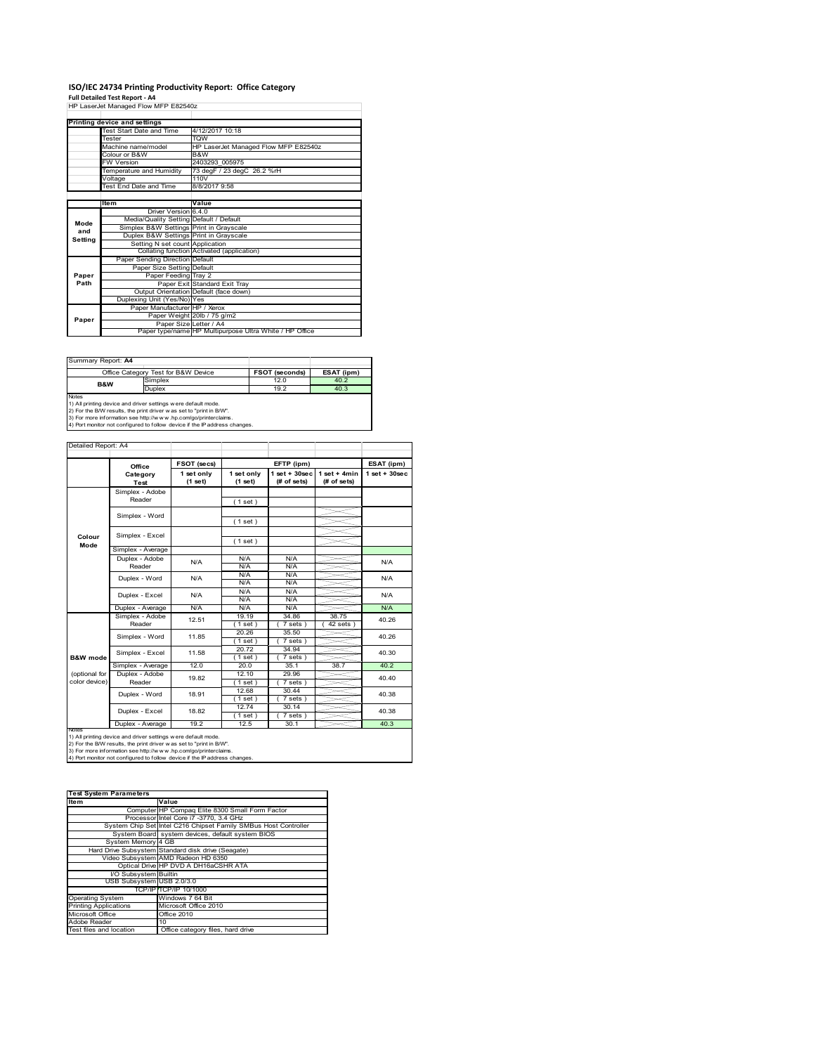# **ISO/IEC 24734 Printing Productivity Report: Office Category Full Detailed Test Report ‐ A4** HP LaserJet Managed Flow MFP E82540z

| HP Laserjet Manaded Flow MFP E825402 |                                         |                                                         |  |  |
|--------------------------------------|-----------------------------------------|---------------------------------------------------------|--|--|
|                                      |                                         |                                                         |  |  |
|                                      | Printing device and settings            |                                                         |  |  |
|                                      | <b>Test Start Date and Time</b>         | 4/12/2017 10:18                                         |  |  |
|                                      | Tester                                  | <b>TOW</b>                                              |  |  |
|                                      | Machine name/model                      | HP LaserJet Managed Flow MFP E82540z                    |  |  |
|                                      | Colour or B&W                           | B&W                                                     |  |  |
|                                      | <b>FW Version</b>                       | 2403293 005975                                          |  |  |
|                                      | Temperature and Humidity                | 73 degF / 23 degC 26.2 %rH                              |  |  |
|                                      | Voltage                                 | 110V                                                    |  |  |
|                                      | Test End Date and Time                  | 8/8/2017 9:58                                           |  |  |
|                                      |                                         |                                                         |  |  |
|                                      | Item                                    | Value                                                   |  |  |
|                                      | Driver Version 6.4.0                    |                                                         |  |  |
| Mode                                 | Media/Quality Setting Default / Default |                                                         |  |  |
| and                                  | Simplex B&W Settings Print in Grayscale |                                                         |  |  |
| Setting                              | Duplex B&W Settings Print in Grayscale  |                                                         |  |  |
|                                      | Setting N set count Application         |                                                         |  |  |
|                                      |                                         | Collating function Activated (application)              |  |  |
|                                      | Paper Sending Direction Default         |                                                         |  |  |
|                                      | Paper Size Setting Default              |                                                         |  |  |
| Paper                                | Paper Feeding Tray 2                    |                                                         |  |  |
| Path                                 |                                         | Paper Exit Standard Exit Tray                           |  |  |
|                                      |                                         | Output Orientation Default (face down)                  |  |  |
|                                      | Duplexing Unit (Yes/No) Yes             |                                                         |  |  |
|                                      | Paper Manufacturer HP / Xerox           |                                                         |  |  |
| Paper                                |                                         | Paper Weight 20lb / 75 g/m2                             |  |  |
|                                      |                                         | Paper Size Letter / A4                                  |  |  |
|                                      |                                         | Paper type/name HP Multipurpose Ultra White / HP Office |  |  |

| Summary Report: A4                                                                                                                                                                                                                                                                                    |                                     |                       |            |  |
|-------------------------------------------------------------------------------------------------------------------------------------------------------------------------------------------------------------------------------------------------------------------------------------------------------|-------------------------------------|-----------------------|------------|--|
|                                                                                                                                                                                                                                                                                                       | Office Category Test for B&W Device | <b>FSOT (seconds)</b> | ESAT (ipm) |  |
| <b>B&amp;W</b>                                                                                                                                                                                                                                                                                        | Simplex                             | 12.0                  | 40.2       |  |
|                                                                                                                                                                                                                                                                                                       | <b>Duplex</b>                       | 19.2                  | 40.3       |  |
| <b>Notes</b><br>1) All printing device and driver settings were default mode.<br>2) For the B/W results, the print driver was set to "print in B/W".<br>3) For more information see http://www.hp.com/go/printerclaims.<br>4) Port monitor not configured to follow device if the IP address changes. |                                     |                       |            |  |

|                     | Office            | FSOT (secs)           |                       | EFTP (ipm)                     |                                | ESAT (ipm)         |
|---------------------|-------------------|-----------------------|-----------------------|--------------------------------|--------------------------------|--------------------|
|                     | Category<br>Test  | 1 set only<br>(1 set) | 1 set only<br>(1 set) | $1$ set + 30sec<br>(# of sets) | $1 set + 4 min$<br>(# of sets) | $1$ set + $30$ sec |
|                     | Simplex - Adobe   |                       |                       |                                |                                |                    |
|                     | Reader            |                       | (1 set)               |                                |                                |                    |
|                     |                   |                       |                       |                                |                                |                    |
|                     | Simplex - Word    |                       | (1 set)               |                                |                                |                    |
|                     | Simplex - Excel   |                       |                       |                                |                                |                    |
| Colour<br>Mode      |                   |                       | (1 set)               |                                |                                |                    |
|                     | Simplex - Average |                       |                       |                                |                                |                    |
|                     | Duplex - Adobe    | N/A                   | N/A                   | N/A                            |                                | N/A                |
|                     | Reader            |                       | N/A                   | N/A                            |                                |                    |
|                     | Duplex - Word     | N/A                   | N/A                   | N/A                            |                                | N/A                |
|                     |                   |                       | N/A                   | N/A                            |                                |                    |
|                     | Duplex - Excel    | N/A                   | N/A                   | N/A                            |                                | N/A                |
|                     |                   |                       | N/A                   | N/A                            |                                |                    |
|                     | Duplex - Average  | N/A                   | N/A                   | N/A                            |                                | N/A                |
|                     | Simplex - Adobe   | 12.51                 | 19.19                 | 34.86                          | 38.75                          | 40.26              |
|                     | Reader            |                       | $1$ set)              | 7 sets                         | $42$ sets                      |                    |
|                     | Simplex - Word    | 11.85                 | 20.26                 | 35.50                          |                                | 40.26              |
|                     |                   |                       | (1 set)               | $\overline{7}$ sets )          |                                |                    |
|                     | Simplex - Excel   | 11.58                 | 20.72                 | 34.94                          |                                | 40.30              |
| <b>B&amp;W</b> mode |                   |                       | $1$ set $)$           | 7 sets)                        |                                |                    |
|                     | Simplex - Average | 12.0                  | 20.0                  | 35.1                           | 38.7                           | 40.2               |
| (optional for       | Duplex - Adobe    | 19.82                 | 12.10                 | 29.96                          |                                | 40.40              |
| color device)       | Reader            |                       | (1 set)               | 7 sets)                        |                                |                    |
|                     | Duplex - Word     | 18.91                 | 12.68                 | 30.44                          |                                | 40.38              |
|                     |                   |                       | (1 set)               | $7 sets$ )                     |                                |                    |
|                     | Duplex - Excel    | 18.82                 | 12.74                 | 30.14                          |                                | 40.38              |
|                     |                   |                       | [1 set )              | 7 sets)                        |                                |                    |
| <b>IVOIES</b>       | Duplex - Average  | 19.2                  | 12.5                  | 30.1                           |                                | 40.3               |

| <b>Test System Parameters</b>                                   |  |  |  |
|-----------------------------------------------------------------|--|--|--|
| Value                                                           |  |  |  |
| Computer HP Compaq Elite 8300 Small Form Factor                 |  |  |  |
| Processor Intel Core i7 -3770, 3.4 GHz                          |  |  |  |
| System Chip Set Intel C216 Chipset Family SMBus Host Controller |  |  |  |
| System Board system devices, default system BIOS                |  |  |  |
| System Memory 4 GB                                              |  |  |  |
| Hard Drive Subsystem Standard disk drive (Seagate)              |  |  |  |
| Video Subsystem AMD Radeon HD 6350                              |  |  |  |
| Optical Drive HP DVD A DH16aCSHR ATA                            |  |  |  |
| I/O Subsystem Builtin                                           |  |  |  |
| USB Subsystem USB 2.0/3.0                                       |  |  |  |
| TCP/IPITCP/IP 10/1000                                           |  |  |  |
| Windows 7 64 Bit                                                |  |  |  |
| Microsoft Office 2010                                           |  |  |  |
| Office 2010                                                     |  |  |  |
| 10                                                              |  |  |  |
| Office category files, hard drive                               |  |  |  |
|                                                                 |  |  |  |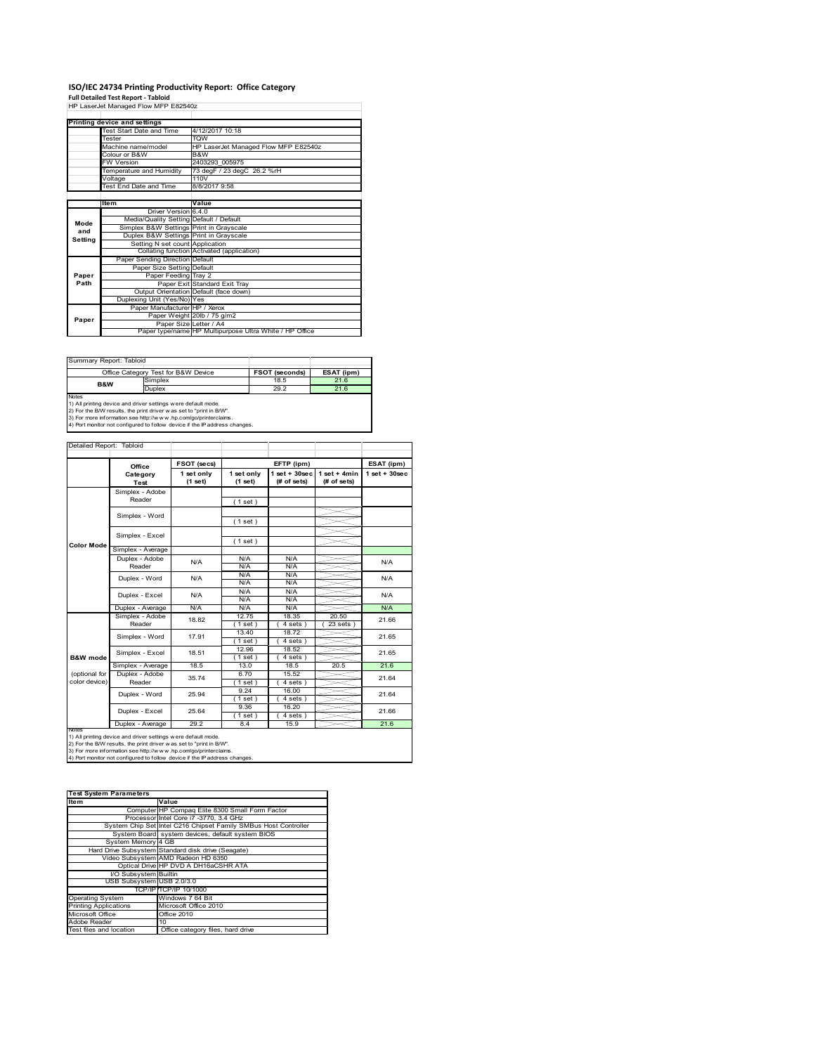# **ISO/IEC 24734 Printing Productivity Report: Office Category Full Detailed Test Report ‐ Tabloid** HP LaserJet Managed Flow MFP E82540z

| HP Laserjet Manaded Flow MFP E825402 |                                         |                                                         |  |  |
|--------------------------------------|-----------------------------------------|---------------------------------------------------------|--|--|
|                                      |                                         |                                                         |  |  |
|                                      | Printing device and settings            |                                                         |  |  |
|                                      | Test Start Date and Time                | 4/12/2017 10:18                                         |  |  |
|                                      | Tester                                  | <b>TQW</b>                                              |  |  |
|                                      | Machine name/model                      | HP LaserJet Managed Flow MFP E82540z                    |  |  |
|                                      | Colour or B&W                           | B&W                                                     |  |  |
|                                      | <b>FW Version</b>                       | 2403293 005975                                          |  |  |
|                                      | Temperature and Humidity                | 73 degF / 23 degC 26.2 %rH                              |  |  |
|                                      | Voltage                                 | 110V                                                    |  |  |
|                                      | Test End Date and Time                  | 8/8/2017 9:58                                           |  |  |
|                                      |                                         |                                                         |  |  |
|                                      | Item                                    | Value                                                   |  |  |
|                                      | Driver Version 6.4.0                    |                                                         |  |  |
| Mode                                 | Media/Quality Setting Default / Default |                                                         |  |  |
| and                                  | Simplex B&W Settings Print in Grayscale |                                                         |  |  |
| Setting                              | Duplex B&W Settings Print in Grayscale  |                                                         |  |  |
|                                      | Setting N set count Application         |                                                         |  |  |
|                                      |                                         | Collating function Activated (application)              |  |  |
|                                      | Paper Sending Direction Default         |                                                         |  |  |
|                                      | Paper Size Setting Default              |                                                         |  |  |
| Paper                                | Paper Feeding Tray 2                    |                                                         |  |  |
| Path                                 |                                         | Paper Exit Standard Exit Tray                           |  |  |
|                                      |                                         | Output Orientation Default (face down)                  |  |  |
|                                      | Duplexing Unit (Yes/No) Yes             |                                                         |  |  |
|                                      | Paper Manufacturer HP / Xerox           |                                                         |  |  |
| Paper                                |                                         | Paper Weight 20lb / 75 g/m2                             |  |  |
|                                      |                                         | Paper Size Letter / A4                                  |  |  |
|                                      |                                         | Paper type/name HP Multipurpose Ultra White / HP Office |  |  |

| Summary Report: Tabloid                                       |                                                                     |                |            |  |  |  |
|---------------------------------------------------------------|---------------------------------------------------------------------|----------------|------------|--|--|--|
|                                                               | Office Category Test for B&W Device                                 | FSOT (seconds) | ESAT (ipm) |  |  |  |
| <b>B&amp;W</b>                                                | Simplex                                                             | 18.5           | 21.6       |  |  |  |
|                                                               | <b>Duplex</b>                                                       | 29.2           | 21.6       |  |  |  |
| <b>Notes</b>                                                  |                                                                     |                |            |  |  |  |
| 1) All printing device and driver settings were default mode. |                                                                     |                |            |  |  |  |
|                                                               | 2) For the B/W results, the print driver was set to "print in B/W". |                |            |  |  |  |

2) For the B/W results, the print driver w as set to "print in B/W".<br>3) For more information see http://w w w.hp.com/go/printerclaims.<br>4) Port monitor not configured to follow device if the IP address changes.

|                     | Office                                                        | FSOT (secs)           |                       | EFTP (ipm)                        |                                | ESAT (ipm)      |
|---------------------|---------------------------------------------------------------|-----------------------|-----------------------|-----------------------------------|--------------------------------|-----------------|
|                     | Category<br><b>Test</b>                                       | 1 set only<br>(1 set) | 1 set only<br>(1 set) | $1$ set + $30$ sec<br>(# of sets) | $1 set + 4 min$<br>(# of sets) | $1$ set + 30sec |
|                     | Simplex - Adobe                                               |                       |                       |                                   |                                |                 |
|                     | Reader                                                        |                       | (1 set)               |                                   |                                |                 |
|                     |                                                               |                       |                       |                                   |                                |                 |
|                     | Simplex - Word                                                |                       | (1 set)               |                                   |                                |                 |
|                     | Simplex - Excel                                               |                       |                       |                                   |                                |                 |
| <b>Color Mode</b>   |                                                               |                       | (1 set)               |                                   |                                |                 |
|                     | Simplex - Average                                             |                       |                       |                                   |                                |                 |
|                     | Duplex - Adobe                                                | N/A                   | N/A                   | N/A                               |                                | N/A             |
|                     | Reader                                                        |                       | N/A                   | N/A                               |                                |                 |
|                     | Duplex - Word                                                 | N/A                   | N/A                   | N/A                               |                                | N/A             |
|                     |                                                               |                       | N/A                   | N/A                               |                                |                 |
|                     | Duplex - Excel                                                | N/A                   | N/A                   | N/A                               |                                | N/A             |
|                     |                                                               |                       | N/A                   | N/A                               |                                |                 |
|                     | Duplex - Average                                              | N/A                   | N/A                   | N/A                               |                                | N/A             |
|                     | Simplex - Adobe                                               | 18.82                 | 12.75                 | 18.35                             | 20.50                          | 21.66           |
|                     | Reader                                                        |                       | $1$ set)              | $4 sets$ )                        | $23$ sets $)$                  |                 |
|                     | Simplex - Word                                                | 17.91                 | 13.40                 | 18.72                             |                                | 21.65           |
|                     |                                                               |                       | (1 set )              | 4 sets)                           |                                |                 |
|                     | Simplex - Excel                                               | 18.51                 | 12.96                 | 18.52                             |                                | 21.65           |
| <b>B&amp;W</b> mode |                                                               | 18.5                  | (1 set)               | 4 sets)                           |                                | 21.6            |
| (optional for       | Simplex - Average<br>Duplex - Adobe                           |                       | 13.0<br>6.70          | 18.5                              | 20.5                           |                 |
| color device)       | Reader                                                        | 35.74                 |                       | 15.52                             |                                | 21.64           |
|                     |                                                               |                       | $1$ set)<br>9.24      | 4 sets)<br>16.00                  |                                |                 |
|                     | Duplex - Word                                                 | 25.94                 | (1 set)               | 4 sets)                           |                                | 21.64           |
|                     |                                                               |                       | 9.36                  | 16.20                             |                                |                 |
|                     | Duplex - Excel                                                | 25.64                 | $1$ set)              | 4 sets)                           |                                | 21.66           |
|                     | Duplex - Average                                              | 29.2                  | 8.4                   | 15.9                              |                                | 21.6            |
| <b>IVOIES</b>       | 1) All printing device and driver settings were default mode. |                       |                       |                                   |                                |                 |

| <b>Test System Parameters</b> |                                                                 |  |  |
|-------------------------------|-----------------------------------------------------------------|--|--|
| ltem                          | Value                                                           |  |  |
|                               | Computer HP Compaq Elite 8300 Small Form Factor                 |  |  |
|                               | Processor Intel Core i7 -3770, 3.4 GHz                          |  |  |
|                               | System Chip Set Intel C216 Chipset Family SMBus Host Controller |  |  |
|                               | System Board system devices, default system BIOS                |  |  |
| System Memory 4 GB            |                                                                 |  |  |
|                               | Hard Drive Subsystem Standard disk drive (Seagate)              |  |  |
|                               | Video Subsystem AMD Radeon HD 6350                              |  |  |
|                               | Optical Drive HP DVD A DH16aCSHR ATA                            |  |  |
| I/O Subsystem Builtin         |                                                                 |  |  |
| USB Subsystem USB 2.0/3.0     |                                                                 |  |  |
|                               | TCP/IPITCP/IP 10/1000                                           |  |  |
| <b>Operating System</b>       | Windows 7 64 Bit                                                |  |  |
| <b>Printing Applications</b>  | Microsoft Office 2010                                           |  |  |
| Microsoft Office              | Office 2010                                                     |  |  |
| Adobe Reader                  | 10 <sup>1</sup>                                                 |  |  |
| Test files and location       | Office category files, hard drive                               |  |  |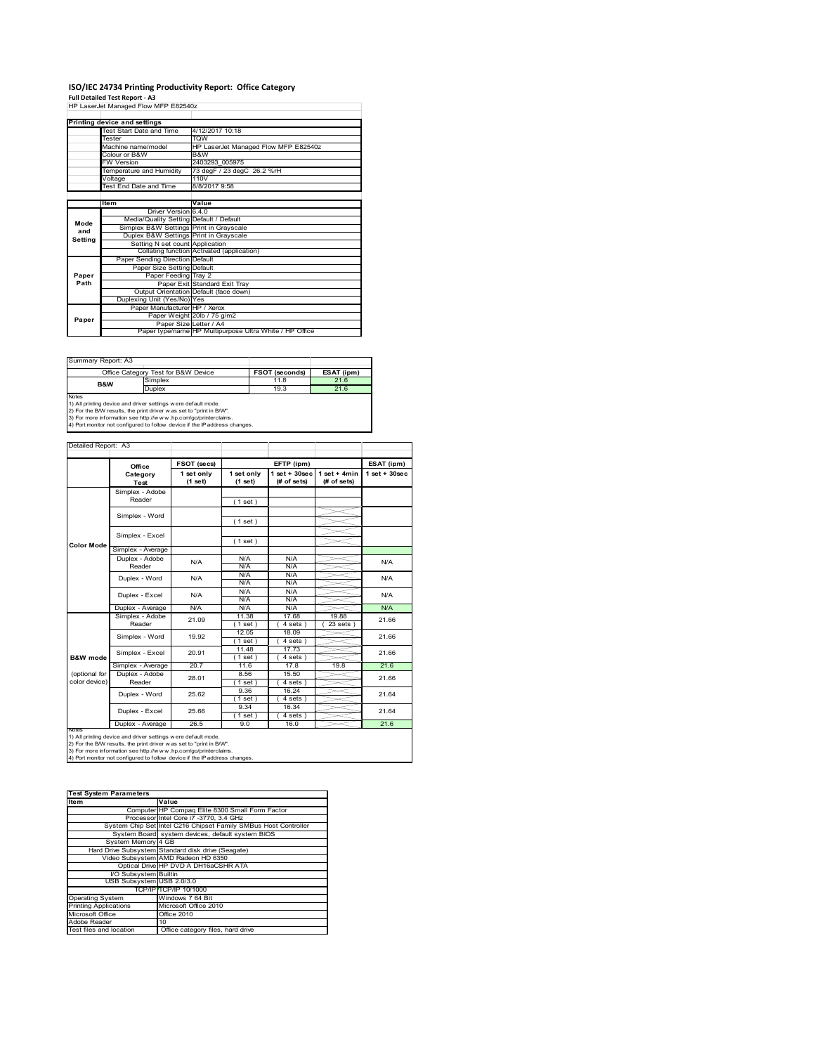# **ISO/IEC 24734 Printing Productivity Report: Office Category Full Detailed Test Report ‐ A3** HP LaserJet Managed Flow MFP E82540z

|         | THE LASSIVE MANAGE FIOW MFF EQUITY      |                                                         |  |  |  |
|---------|-----------------------------------------|---------------------------------------------------------|--|--|--|
|         |                                         |                                                         |  |  |  |
|         | Printing device and settings            |                                                         |  |  |  |
|         | Test Start Date and Time                | 4/12/2017 10:18                                         |  |  |  |
|         | Tester                                  | <b>TOW</b>                                              |  |  |  |
|         | Machine name/model                      | HP LaserJet Managed Flow MFP E82540z                    |  |  |  |
|         | Colour or B&W                           | B&W                                                     |  |  |  |
|         | <b>FW Version</b>                       | 2403293 005975                                          |  |  |  |
|         | Temperature and Humidity                | 73 degF / 23 degC 26.2 %rH                              |  |  |  |
|         | Voltage                                 | 110V                                                    |  |  |  |
|         | Test End Date and Time                  | 8/8/2017 9:58                                           |  |  |  |
|         |                                         |                                                         |  |  |  |
|         | Item                                    | Value                                                   |  |  |  |
|         | Driver Version 6.4.0                    |                                                         |  |  |  |
| Mode    | Media/Quality Setting Default / Default |                                                         |  |  |  |
| and     | Simplex B&W Settings Print in Grayscale |                                                         |  |  |  |
| Setting | Duplex B&W Settings Print in Grayscale  |                                                         |  |  |  |
|         | Setting N set count Application         |                                                         |  |  |  |
|         |                                         | Collating function Activated (application)              |  |  |  |
|         | Paper Sending Direction Default         |                                                         |  |  |  |
|         | Paper Size Setting Default              |                                                         |  |  |  |
| Paper   | Paper Feeding Tray 2                    |                                                         |  |  |  |
| Path    |                                         | Paper Exit Standard Exit Tray                           |  |  |  |
|         |                                         | Output Orientation Default (face down)                  |  |  |  |
|         | Duplexing Unit (Yes/No) Yes             |                                                         |  |  |  |
|         | Paper Manufacturer HP / Xerox           |                                                         |  |  |  |
| Paper   |                                         | Paper Weight 20lb / 75 g/m2                             |  |  |  |
|         |                                         | Paper Size Letter / A4                                  |  |  |  |
|         |                                         | Paper type/name HP Multipurpose Ultra White / HP Office |  |  |  |

| Summary Report: A3                                                            |                                                                     |                |            |  |  |  |
|-------------------------------------------------------------------------------|---------------------------------------------------------------------|----------------|------------|--|--|--|
|                                                                               | Office Category Test for B&W Device                                 | FSOT (seconds) | ESAT (ipm) |  |  |  |
| <b>B&amp;W</b>                                                                | Simplex                                                             | 11.8           | 21.6       |  |  |  |
|                                                                               | Duplex                                                              | 19.3           | 21.6       |  |  |  |
| <b>Notes</b><br>1) All printing device and driver settings were default mode. |                                                                     |                |            |  |  |  |
|                                                                               | 2) For the B/W results, the print driver was set to "print in B/W". |                |            |  |  |  |

2) For the B/W results, the print driver w as set to "print in B/W".<br>3) For more information see http://w w w.hp.com/go/printerclaims.<br>4) Port monitor not configured to follow device if the IP address changes.

|                     | FSOT (secs)<br>EFTP (ipm)<br>Office |                       |                       |                                   | ESAT (ipm)                     |                    |
|---------------------|-------------------------------------|-----------------------|-----------------------|-----------------------------------|--------------------------------|--------------------|
|                     | Category<br><b>Test</b>             | 1 set only<br>(1 set) | 1 set only<br>(1 set) | $1$ set + $30$ sec<br>(# of sets) | $1 set + 4 min$<br>(# of sets) | $1$ set + $30$ sec |
|                     | Simplex - Adobe                     |                       |                       |                                   |                                |                    |
|                     | Reader                              |                       | (1 set)               |                                   |                                |                    |
|                     |                                     |                       |                       |                                   |                                |                    |
|                     | Simplex - Word                      |                       | (1 set)               |                                   |                                |                    |
|                     | Simplex - Excel                     |                       |                       |                                   |                                |                    |
| <b>Color Mode</b>   |                                     |                       | (1 set)               |                                   |                                |                    |
|                     | Simplex - Average                   |                       |                       |                                   |                                |                    |
|                     | Duplex - Adobe                      | N/A                   | N/A                   | N/A                               |                                | N/A                |
|                     | Reader                              |                       | N/A                   | N/A                               |                                |                    |
|                     | Duplex - Word                       | N/A                   | N/A                   | N/A                               |                                | N/A                |
|                     |                                     |                       | N/A                   | N/A                               |                                |                    |
|                     | Duplex - Excel                      | N/A                   | N/A<br>N/A            | N/A<br>N/A                        |                                | N/A                |
|                     | Duplex - Average                    | N/A                   | N/A                   | N/A                               |                                | N/A                |
|                     | Simplex - Adobe                     |                       | 11.38                 | 17.68                             | 19.88                          |                    |
|                     | Reader                              | 21.09                 | $1$ set)              | $4 sets$ )                        | 23 sets                        | 21.66              |
|                     | Simplex - Word                      | 19.92                 | 12.05                 | 18.09                             |                                | 21.66              |
|                     |                                     |                       | $1$ set)              | $4 sets$ )                        |                                |                    |
|                     | Simplex - Excel                     | 20.91                 | 11.48                 | 17.73                             |                                | 21.66              |
| <b>B&amp;W</b> mode |                                     |                       | $1$ set)              | 4 sets)                           |                                |                    |
|                     | Simplex - Average                   | 20.7                  | 11.6                  | 17.8                              | 19.8                           | 21.6               |
| (optional for       | Duplex - Adobe                      | 28.01                 | 8.56                  | 15.50                             |                                | 21.66              |
| color device)       | Reader                              |                       | $1$ set)              | 4 sets)                           |                                |                    |
|                     | Duplex - Word                       | 25.62                 | 9.36                  | 16.24                             |                                | 21.64              |
|                     |                                     |                       | (1 set)               | 4 sets)                           |                                |                    |
|                     | Duplex - Excel                      | 25.66                 | 9.34                  | 16.34                             |                                | 21.64              |
|                     |                                     |                       | $1$ set)              | 4 sets)                           |                                |                    |
| <b>IVOIES</b>       | Duplex - Average                    | 26.5                  | 9.0                   | 16.0                              |                                | 21.6               |

| <b>Test System Parameters</b> |                                                                 |  |  |  |
|-------------------------------|-----------------------------------------------------------------|--|--|--|
| ltem                          | Value                                                           |  |  |  |
|                               | Computer HP Compaq Elite 8300 Small Form Factor                 |  |  |  |
|                               | Processor Intel Core i7 -3770, 3.4 GHz                          |  |  |  |
|                               | System Chip Set Intel C216 Chipset Family SMBus Host Controller |  |  |  |
|                               | System Board system devices, default system BIOS                |  |  |  |
| System Memory 4 GB            |                                                                 |  |  |  |
|                               | Hard Drive Subsystem Standard disk drive (Seagate)              |  |  |  |
|                               | Video Subsystem AMD Radeon HD 6350                              |  |  |  |
|                               | Optical Drive HP DVD A DH16aCSHR ATA                            |  |  |  |
| I/O Subsystem Builtin         |                                                                 |  |  |  |
| USB Subsystem USB 2.0/3.0     |                                                                 |  |  |  |
|                               | TCP/IP TCP/IP 10/1000                                           |  |  |  |
| <b>Operating System</b>       | Windows 7 64 Bit                                                |  |  |  |
| <b>Printing Applications</b>  | Microsoft Office 2010                                           |  |  |  |
| Microsoft Office              | <b>Office 2010</b>                                              |  |  |  |
| Adobe Reader                  | 10                                                              |  |  |  |
| Test files and location       | Office category files, hard drive                               |  |  |  |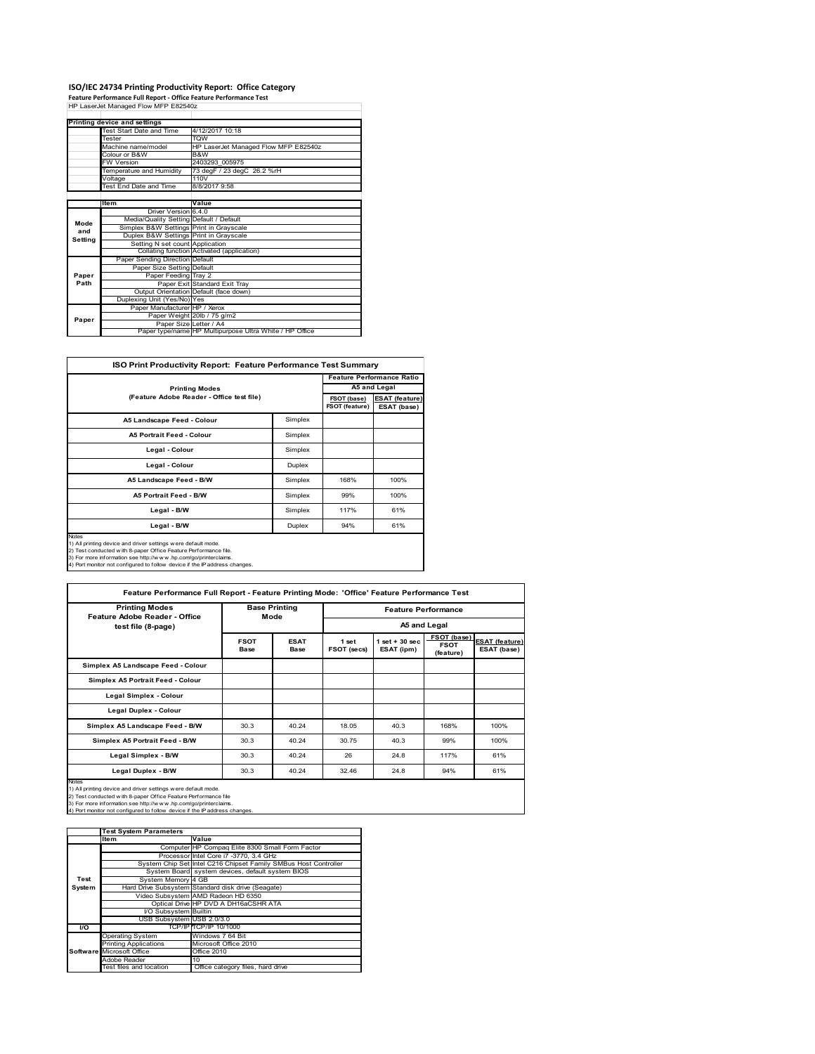# **ISO/IEC 24734 Printing Productivity Report: Office Category Feature Performance Full Report ‐ Office Feature Performance Test** HP LaserJet Managed Flow MFP E82540z

|         | Printing device and settings            |                                                         |  |  |
|---------|-----------------------------------------|---------------------------------------------------------|--|--|
|         | Test Start Date and Time                | 4/12/2017 10:18                                         |  |  |
|         | Tester                                  | <b>TQW</b>                                              |  |  |
|         | Machine name/model                      | HP LaserJet Managed Flow MFP E82540z                    |  |  |
|         | Colour or B&W                           | B&W                                                     |  |  |
|         | <b>FW Version</b>                       | 2403293 005975                                          |  |  |
|         | Temperature and Humidity                | 73 degF / 23 degC 26.2 %rH                              |  |  |
|         | Voltage                                 | 110V                                                    |  |  |
|         | Test End Date and Time                  | 8/8/2017 9:58                                           |  |  |
|         |                                         |                                                         |  |  |
|         | Item                                    | Value                                                   |  |  |
|         | Driver Version 6.4.0                    |                                                         |  |  |
| Mode    | Media/Quality Setting Default / Default |                                                         |  |  |
| and     | Simplex B&W Settings Print in Grayscale |                                                         |  |  |
| Setting | Duplex B&W Settings Print in Grayscale  |                                                         |  |  |
|         | Setting N set count Application         |                                                         |  |  |
|         |                                         | Collating function Activated (application)              |  |  |
|         | Paper Sending Direction Default         |                                                         |  |  |
|         | Paper Size Setting Default              |                                                         |  |  |
| Paper   | Paper Feeding Tray 2                    |                                                         |  |  |
| Path    |                                         | Paper Exit Standard Exit Tray                           |  |  |
|         |                                         | Output Orientation Default (face down)                  |  |  |
|         | Duplexing Unit (Yes/No) Yes             |                                                         |  |  |
|         | Paper Manufacturer HP / Xerox           |                                                         |  |  |
| Paper   |                                         | Paper Weight 20lb / 75 g/m2                             |  |  |
|         |                                         | Paper Size Letter / A4                                  |  |  |
|         |                                         | Paper type/name HP Multipurpose Ultra White / HP Office |  |  |

| <b>ISO Print Productivity Report: Feature Performance Test Summary</b>                                                                                                                                                                                                                     |         |      |                                  |  |  |  |
|--------------------------------------------------------------------------------------------------------------------------------------------------------------------------------------------------------------------------------------------------------------------------------------------|---------|------|----------------------------------|--|--|--|
|                                                                                                                                                                                                                                                                                            |         |      | <b>Feature Performance Ratio</b> |  |  |  |
| <b>Printing Modes</b>                                                                                                                                                                                                                                                                      |         |      |                                  |  |  |  |
| (Feature Adobe Reader - Office test file)                                                                                                                                                                                                                                                  |         |      |                                  |  |  |  |
| A5 Landscape Feed - Colour                                                                                                                                                                                                                                                                 | Simplex |      |                                  |  |  |  |
| <b>A5 Portrait Feed - Colour</b>                                                                                                                                                                                                                                                           | Simplex |      |                                  |  |  |  |
| Legal - Colour                                                                                                                                                                                                                                                                             | Simplex |      |                                  |  |  |  |
| Legal - Colour                                                                                                                                                                                                                                                                             | Duplex  |      |                                  |  |  |  |
| A5 Landscape Feed - B/W                                                                                                                                                                                                                                                                    | Simplex | 168% | 100%                             |  |  |  |
| <b>A5 Portrait Feed - B/W</b>                                                                                                                                                                                                                                                              | Simplex | 99%  | 100%                             |  |  |  |
| Legal - B/W                                                                                                                                                                                                                                                                                | Simplex | 117% | 61%                              |  |  |  |
| Legal - B/W                                                                                                                                                                                                                                                                                | Duplex  | 94%  | 61%                              |  |  |  |
| Notes<br>1) All printing device and driver settings were default mode.<br>2) Test conducted with 8-paper Office Feature Performance file.<br>3) For more information see http://www.hp.com/go/printerclaims.<br>4) Port monitor not configured to follow device if the IP address changes. |         |      |                                  |  |  |  |

| 1) Port monitor not configured to follow device if the IP address ch |  |
|----------------------------------------------------------------------|--|
|----------------------------------------------------------------------|--|

| <b>Printing Modes</b><br><b>Feature Adobe Reader - Office</b>                                                                                                                                                                                                                                    | <b>Base Printing</b>       |                     | <b>Feature Performance</b> |                                 |                                         |                                      |
|--------------------------------------------------------------------------------------------------------------------------------------------------------------------------------------------------------------------------------------------------------------------------------------------------|----------------------------|---------------------|----------------------------|---------------------------------|-----------------------------------------|--------------------------------------|
| test file (8-page)                                                                                                                                                                                                                                                                               | Mode                       |                     |                            |                                 | A5 and Legal                            |                                      |
|                                                                                                                                                                                                                                                                                                  | <b>FSOT</b><br><b>Base</b> | <b>ESAT</b><br>Base | 1 set<br>FSOT (secs)       | $1$ set $+30$ sec<br>ESAT (ipm) | FSOT (base)<br><b>FSOT</b><br>(feature) | <b>ESAT (feature)</b><br>ESAT (base) |
| Simplex A5 Landscape Feed - Colour                                                                                                                                                                                                                                                               |                            |                     |                            |                                 |                                         |                                      |
| Simplex A5 Portrait Feed - Colour                                                                                                                                                                                                                                                                |                            |                     |                            |                                 |                                         |                                      |
| Legal Simplex - Colour                                                                                                                                                                                                                                                                           |                            |                     |                            |                                 |                                         |                                      |
| <b>Legal Duplex - Colour</b>                                                                                                                                                                                                                                                                     |                            |                     |                            |                                 |                                         |                                      |
| Simplex A5 Landscape Feed - B/W                                                                                                                                                                                                                                                                  | 30.3                       | 40.24               | 18.05                      | 40.3                            | 168%                                    | 100%                                 |
| Simplex A5 Portrait Feed - B/W                                                                                                                                                                                                                                                                   | 30.3                       | 40.24               | 30.75                      | 40.3                            | 99%                                     | 100%                                 |
| Legal Simplex - B/W                                                                                                                                                                                                                                                                              | 30.3                       | 40.24               | 26                         | 24.8                            | 117%                                    | 61%                                  |
| Legal Duplex - B/W                                                                                                                                                                                                                                                                               | 30.3                       | 40.24               | 32.46                      | 24.8                            | 94%                                     | 61%                                  |
| <b>Notes</b><br>1) All printing device and driver settings were default mode.<br>2) Test conducted with 8-paper Office Feature Performance file<br>3) For more information see http://www.hp.com/go/printerclaims.<br>4) Port monitor not configured to follow device if the IP address changes. |                            |                     |                            |                                 |                                         |                                      |

|           | <b>Test System Parameters</b> |                                                                 |  |  |  |
|-----------|-------------------------------|-----------------------------------------------------------------|--|--|--|
|           | <b>Item</b>                   | Value                                                           |  |  |  |
|           |                               | Computer HP Compaq Elite 8300 Small Form Factor                 |  |  |  |
|           |                               | Processor Intel Core i7 -3770, 3.4 GHz                          |  |  |  |
|           |                               | System Chip Set Intel C216 Chipset Family SMBus Host Controller |  |  |  |
|           |                               | System Board system devices, default system BIOS                |  |  |  |
| Test      | System Memory 4 GB            |                                                                 |  |  |  |
| System    |                               | Hard Drive Subsystem Standard disk drive (Seagate)              |  |  |  |
|           |                               | Video Subsystem AMD Radeon HD 6350                              |  |  |  |
|           |                               | Optical Drive HP DVD A DH16aCSHR ATA                            |  |  |  |
|           | I/O Subsystem Builtin         |                                                                 |  |  |  |
|           | USB Subsystem USB 2.0/3.0     |                                                                 |  |  |  |
| <b>VO</b> |                               | TCP/IP TCP/IP 10/1000                                           |  |  |  |
|           | <b>Operating System</b>       | Windows 7 64 Bit                                                |  |  |  |
|           | <b>Printing Applications</b>  | Microsoft Office 2010                                           |  |  |  |
|           | Software Microsoft Office     | <b>Office 2010</b>                                              |  |  |  |
|           | Adobe Reader                  | 10                                                              |  |  |  |
|           | Test files and location       | Office category files, hard drive                               |  |  |  |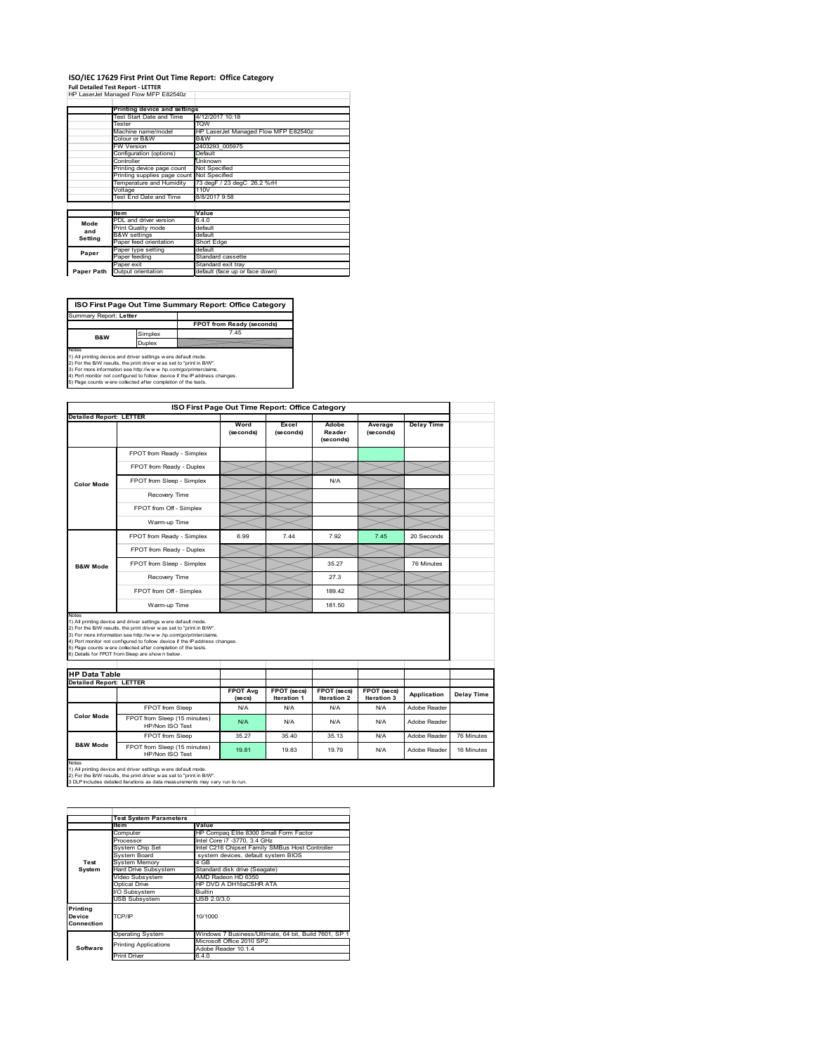# **ISO/IEC 17629 First Print Out Time Report: Office Category**

**Full Detailed Test Report ‐ LETTER** HP LaserJet Managed Flow MFP E82540z

|            | Printing device and settings                       |                                      |  |  |  |
|------------|----------------------------------------------------|--------------------------------------|--|--|--|
|            | Test Start Date and Time                           | 4/12/2017 10:18                      |  |  |  |
|            | Tester                                             | <b>TOW</b>                           |  |  |  |
|            | Machine name/model                                 | HP LaserJet Managed Flow MFP E82540z |  |  |  |
|            | Colour or B&W                                      | B&W                                  |  |  |  |
|            | <b>FW Version</b>                                  | 2403293 005975                       |  |  |  |
|            | Configuration (options)                            | Default                              |  |  |  |
|            | Controller                                         | Unknown                              |  |  |  |
|            | <b>Not Specified</b><br>Printing device page count |                                      |  |  |  |
|            | Printing supplies page count Not Specified         |                                      |  |  |  |
|            | Temperature and Humidity                           | 73 degF / 23 degC 26.2 %rH           |  |  |  |
|            | Voltage                                            | 110V                                 |  |  |  |
|            | Test End Date and Time                             | 8/8/2017 9:58                        |  |  |  |
|            |                                                    |                                      |  |  |  |
|            | <b>Item</b>                                        | Value                                |  |  |  |
| Mode       | PDL and driver version                             | 640                                  |  |  |  |
| and        | Print Quality mode                                 | default                              |  |  |  |
| Setting    | <b>B&amp;W</b> settings                            | default                              |  |  |  |
|            | Paper feed orientation                             | Short Edge                           |  |  |  |
| Paper      | Paper type setting                                 | default                              |  |  |  |
|            | Paper feeding                                      | Standard cassette                    |  |  |  |
|            | Paper exit                                         | Standard exit tray                   |  |  |  |
| Paper Path | Output orientation                                 | default (face up or face down)       |  |  |  |

ń

**ISO First Page Out Time Summary Report: Office Category** Summary Report: **Letter**

**FPOT from Ready (seconds)**<br>
Simplex 7.45 **B&W**

**Duplex**<br>Notes<br>1) All printing device and driver settings were default mode.<br>2) For the BM results, the print driver was set to "print in BM".<br>4) For more information see http://www.hp.com/golprinterclaims.<br>4) Port monitor

|                                                                 |                                                                                                                                                                                                                                                                                                                                                                                                             | ISO First Page Out Time Report: Office Category |                    |                              |                      |                   |            |
|-----------------------------------------------------------------|-------------------------------------------------------------------------------------------------------------------------------------------------------------------------------------------------------------------------------------------------------------------------------------------------------------------------------------------------------------------------------------------------------------|-------------------------------------------------|--------------------|------------------------------|----------------------|-------------------|------------|
| <b>Detailed Report: LETTER</b>                                  |                                                                                                                                                                                                                                                                                                                                                                                                             | Word<br>(seconds)                               | Excel<br>(seconds) | Adobe<br>Reader<br>(seconds) | Average<br>(seconds) | <b>Delay Time</b> |            |
|                                                                 | FPOT from Ready - Simplex                                                                                                                                                                                                                                                                                                                                                                                   |                                                 |                    |                              |                      |                   |            |
|                                                                 | FPOT from Ready - Duplex                                                                                                                                                                                                                                                                                                                                                                                    |                                                 |                    |                              |                      |                   |            |
| <b>Color Mode</b>                                               | FPOT from Sleep - Simplex                                                                                                                                                                                                                                                                                                                                                                                   |                                                 |                    | N/A                          |                      |                   |            |
|                                                                 | Recovery Time                                                                                                                                                                                                                                                                                                                                                                                               |                                                 |                    |                              |                      |                   |            |
|                                                                 | FPOT from Off - Simplex                                                                                                                                                                                                                                                                                                                                                                                     |                                                 |                    |                              |                      |                   |            |
|                                                                 | Warm-up Time                                                                                                                                                                                                                                                                                                                                                                                                |                                                 |                    |                              |                      |                   |            |
|                                                                 | FPOT from Ready - Simplex                                                                                                                                                                                                                                                                                                                                                                                   | 6.99                                            | 7.44               | 7.92                         | 7.45                 | 20 Seconds        |            |
|                                                                 | FPOT from Ready - Duplex                                                                                                                                                                                                                                                                                                                                                                                    |                                                 |                    |                              |                      |                   |            |
| <b>B&amp;W Mode</b>                                             | FPOT from Sleep - Simplex                                                                                                                                                                                                                                                                                                                                                                                   |                                                 |                    | 35.27                        |                      | 76 Minutes        |            |
|                                                                 | Recovery Time                                                                                                                                                                                                                                                                                                                                                                                               |                                                 |                    | 27.3                         |                      |                   |            |
|                                                                 |                                                                                                                                                                                                                                                                                                                                                                                                             |                                                 |                    |                              |                      |                   |            |
|                                                                 | FPOT from Off - Simplex                                                                                                                                                                                                                                                                                                                                                                                     |                                                 |                    | 18942                        |                      |                   |            |
|                                                                 | Warm-up Time                                                                                                                                                                                                                                                                                                                                                                                                |                                                 |                    | 181.50                       |                      |                   |            |
| Notes<br><b>HP Data Table</b><br><b>Detailed Report: LETTER</b> | 1) All printing device and driver settings w ere default mode.<br>2) For the B/W results, the print driver was set to "print in B/W".<br>3) For more information see http://www.hp.com/go/printerclaims.<br>4) Port monitor not configured to follow device if the IP address changes.<br>5) Page counts w ere collected after completion of the tests.<br>6) Details for FPOT from Sleep are show n below. | <b>FPOT Avg</b>                                 | FPOT (secs)        | FPOT (secs)                  | <b>FPOT</b> (secs)   |                   |            |
|                                                                 |                                                                                                                                                                                                                                                                                                                                                                                                             | (se cs)                                         | <b>Iteration 1</b> | <b>Iteration 2</b>           | Iteration 3          | Application       | Delay Time |
|                                                                 | FPOT from Sleep                                                                                                                                                                                                                                                                                                                                                                                             | N/A                                             | N/A                | N/A                          | N/A                  | Adobe Reader      |            |
| Color Mode                                                      | FPOT from Sleep (15 minutes)<br>HP/Non ISO Test                                                                                                                                                                                                                                                                                                                                                             | N/A                                             | N/A                | N/A                          | N/A                  | Adobe Reader      |            |
| <b>B&amp;W Mode</b>                                             | FPOT from Sleep                                                                                                                                                                                                                                                                                                                                                                                             | 35.27                                           | 35.40              | 35.13                        | N/A                  | Adobe Reader      | 76 Minutes |

|                                  | <b>Test System Parameters</b> |                                                       |  |  |  |
|----------------------------------|-------------------------------|-------------------------------------------------------|--|--|--|
|                                  | <b>Item</b>                   | Value                                                 |  |  |  |
|                                  | Computer                      | HP Compag Elite 8300 Small Form Factor                |  |  |  |
|                                  | Processor                     | Intel Core i7 -3770, 3.4 GHz                          |  |  |  |
|                                  | System Chip Set               | Intel C216 Chipset Family SMBus Host Controller       |  |  |  |
|                                  | System Board                  | system devices, default system BIOS                   |  |  |  |
| Test                             | <b>System Memory</b>          | 4 GB                                                  |  |  |  |
| System                           | <b>Hard Drive Subsystem</b>   | Standard disk drive (Seagate)                         |  |  |  |
|                                  | Video Subsystem               | AMD Radeon HD 6350                                    |  |  |  |
|                                  | Optical Drive                 | HP DVD A DH16aCSHR ATA                                |  |  |  |
|                                  | I/O Subsystem                 | <b>Builtin</b>                                        |  |  |  |
|                                  | <b>USB Subsystem</b>          | USB 2.0/3.0                                           |  |  |  |
| Printing<br>Device<br>Connection | TCP/IP                        | 10/1000                                               |  |  |  |
|                                  | <b>Operating System</b>       | Windows 7 Business/Ultimate, 64 bit, Build 7601, SP 1 |  |  |  |
|                                  | <b>Printing Applications</b>  | Microsoft Office 2010 SP2                             |  |  |  |
| Software                         |                               | Adobe Reader 10.1.4                                   |  |  |  |
|                                  | <b>Print Driver</b>           | 6.4.0                                                 |  |  |  |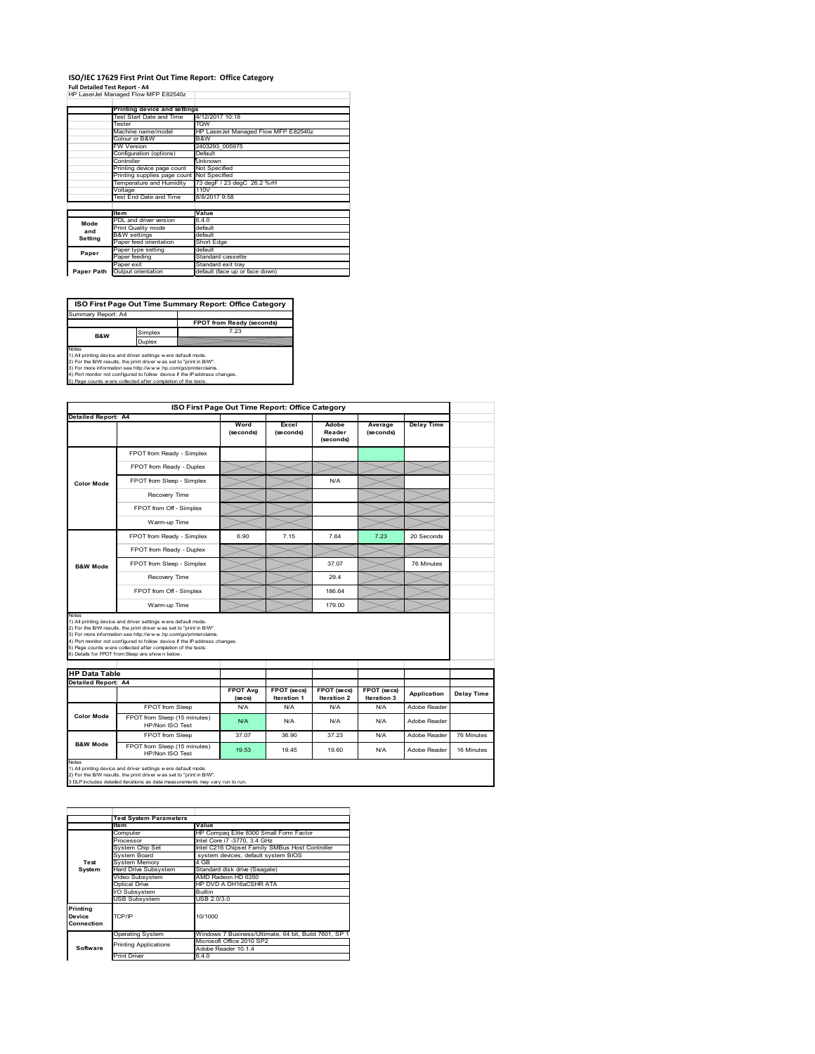# **ISO/IEC 17629 First Print Out Time Report: Office Category**

**Full Detailed Test Report ‐ A4** HP LaserJet Managed Flow MFP E82540z

|            | Printing device and settings |                                      |
|------------|------------------------------|--------------------------------------|
|            | Test Start Date and Time     | 4/12/2017 10:18                      |
|            | Tester                       | <b>TOW</b>                           |
|            | Machine name/model           | HP LaserJet Managed Flow MFP E82540z |
|            | Colour or B&W                | <b>B&amp;W</b>                       |
|            | <b>FW Version</b>            | 2403293 005975                       |
|            | Configuration (options)      | Default                              |
|            | Controller                   | Unknown                              |
|            | Printing device page count   | Not Specified                        |
|            | Printing supplies page count | Not Specified                        |
|            | Temperature and Humidity     | 73 degF / 23 degC 26.2 %rH           |
|            | Voltage                      | 110V                                 |
|            | Test End Date and Time       | 8/8/2017 9:58                        |
|            |                              |                                      |
|            | <b>Item</b>                  | Value                                |
| Mode       | PDL and driver version       | 640                                  |
| and        | Print Quality mode           | default                              |
| Setting    | <b>B&amp;W</b> settings      | default                              |
|            | Paper feed orientation       | Short Edge                           |
| Paper      | Paper type setting           | default                              |
|            | Paper feeding                | Standard cassette                    |
|            | Paper exit                   | Standard exit trav                   |
| Paper Path | Output orientation           | default (face up or face down)       |

٦

**ISO First Page Out Time Summary Report: Office Category**

**FPOT from Ready (seconds)** Simplex 7.23 Duplex Notes<br>1) All printing device and driver settings were default mode.<br>2) For the BAV results, the print driver was set to "print in BAV".<br>3) For more information see http://www.hp.com/golprinterclaims.<br>4) Port monitor not co Summary Report: A4 **B&W**

|                                                      |                                                                                                                                                                                                                                                                                                                                                                                                             | ISO First Page Out Time Report: Office Category |                            |                                   |                            |                   |            |
|------------------------------------------------------|-------------------------------------------------------------------------------------------------------------------------------------------------------------------------------------------------------------------------------------------------------------------------------------------------------------------------------------------------------------------------------------------------------------|-------------------------------------------------|----------------------------|-----------------------------------|----------------------------|-------------------|------------|
| Detailed Report: A4                                  |                                                                                                                                                                                                                                                                                                                                                                                                             | Word<br>(seconds)                               | Excel<br>(seconds)         | Adobe<br>Reader<br>(seconds)      | Average<br>(seconds)       | <b>Delay Time</b> |            |
|                                                      | FPOT from Ready - Simplex                                                                                                                                                                                                                                                                                                                                                                                   |                                                 |                            |                                   |                            |                   |            |
|                                                      | FPOT from Ready - Duplex                                                                                                                                                                                                                                                                                                                                                                                    |                                                 |                            |                                   |                            |                   |            |
| <b>Color Mode</b>                                    | FPOT from Sleep - Simplex                                                                                                                                                                                                                                                                                                                                                                                   |                                                 |                            | N/A                               |                            |                   |            |
|                                                      | Recovery Time                                                                                                                                                                                                                                                                                                                                                                                               |                                                 |                            |                                   |                            |                   |            |
|                                                      | FPOT from Off - Simplex                                                                                                                                                                                                                                                                                                                                                                                     |                                                 |                            |                                   |                            |                   |            |
|                                                      | Warm-up Time                                                                                                                                                                                                                                                                                                                                                                                                |                                                 |                            |                                   |                            |                   |            |
|                                                      | FPOT from Ready - Simplex                                                                                                                                                                                                                                                                                                                                                                                   | 6.90                                            | 7.15                       | 7.64                              | 7.23                       | 20 Seconds        |            |
|                                                      | FPOT from Ready - Duplex                                                                                                                                                                                                                                                                                                                                                                                    |                                                 |                            |                                   |                            |                   |            |
| <b>B&amp;W Mode</b>                                  | FPOT from Sleep - Simplex                                                                                                                                                                                                                                                                                                                                                                                   |                                                 |                            | 37.07                             |                            | 76 Minutes        |            |
|                                                      | Recovery Time                                                                                                                                                                                                                                                                                                                                                                                               |                                                 |                            | 29.4                              |                            |                   |            |
|                                                      |                                                                                                                                                                                                                                                                                                                                                                                                             |                                                 |                            |                                   |                            |                   |            |
|                                                      | FPOT from Off - Simplex                                                                                                                                                                                                                                                                                                                                                                                     |                                                 |                            | 186.64                            |                            |                   |            |
|                                                      | Warm-up Time                                                                                                                                                                                                                                                                                                                                                                                                |                                                 |                            | 179.00                            |                            |                   |            |
|                                                      | 1) All printing device and driver settings w ere default mode.<br>2) For the B/W results, the print driver was set to "print in B/W".<br>3) For more information see http://www.hp.com/go/printerclaims.<br>4) Port monitor not configured to follow device if the IP address changes.<br>5) Page counts w ere collected after completion of the tests.<br>6) Details for FPOT from Sleep are show n below. |                                                 |                            |                                   |                            |                   |            |
|                                                      |                                                                                                                                                                                                                                                                                                                                                                                                             |                                                 |                            |                                   |                            |                   |            |
|                                                      |                                                                                                                                                                                                                                                                                                                                                                                                             | <b>FPOT Avg</b>                                 | FPOT (secs)<br>Iteration 1 | FPOT (secs)<br><b>Iteration 2</b> | FPOT (secs)<br>Iteration 3 | Application       |            |
| Notes<br><b>HP Data Table</b><br>Detailed Report: A4 | FPOT from Sleep                                                                                                                                                                                                                                                                                                                                                                                             | (se cs)<br>N/A                                  | N/A                        | N/A                               | N/A                        | Adobe Reader      | Delay Time |
| <b>Color Mode</b>                                    | FPOT from Sleep (15 minutes)<br>HP/Non ISO Test                                                                                                                                                                                                                                                                                                                                                             | N/A                                             | N/A                        | N/A                               | N/A                        | Adobe Reader      |            |
| <b>B&amp;W Mode</b>                                  | FPOT from Sleep                                                                                                                                                                                                                                                                                                                                                                                             | 37.07                                           | 36.90                      | 37.23                             | N/A                        | Adobe Reader      | 76 Minutes |

1) All printing device and driver settings w ere default mode.<br>2) For the B/W results, the print driver w as set to "print in B/W".<br>3 DLP includes detailed iterations as data measurements may vary run to run.

|                                  | <b>Test System Parameters</b>         |                                                       |  |  |
|----------------------------------|---------------------------------------|-------------------------------------------------------|--|--|
|                                  | <b>Item</b>                           | Value                                                 |  |  |
|                                  | Computer                              | HP Compaq Elite 8300 Small Form Factor                |  |  |
|                                  | Processor                             | Intel Core i7 -3770, 3.4 GHz                          |  |  |
|                                  | System Chip Set                       | Intel C216 Chipset Family SMBus Host Controller       |  |  |
|                                  | System Board                          | system devices, default system BIOS                   |  |  |
| Test                             | <b>System Memory</b>                  | 4 GB                                                  |  |  |
| System                           | Hard Drive Subsystem                  | Standard disk drive (Seagate)                         |  |  |
|                                  | AMD Radeon HD 6350<br>Video Subsystem |                                                       |  |  |
|                                  | Optical Drive                         | HP DVD A DH16aCSHR ATA                                |  |  |
|                                  | I/O Subsystem                         | <b>Builtin</b>                                        |  |  |
|                                  | <b>USB Subsystem</b>                  | USB 2.0/3.0                                           |  |  |
| Printing<br>Device<br>Connection | TCP/IP                                | 10/1000                                               |  |  |
|                                  | <b>Operating System</b>               | Windows 7 Business/Ultimate, 64 bit, Build 7601, SP 1 |  |  |
|                                  |                                       | Microsoft Office 2010 SP2                             |  |  |
| Software                         | <b>Printing Applications</b>          | Adobe Reader 10.1.4                                   |  |  |
|                                  | <b>Print Driver</b>                   | 6.4.0                                                 |  |  |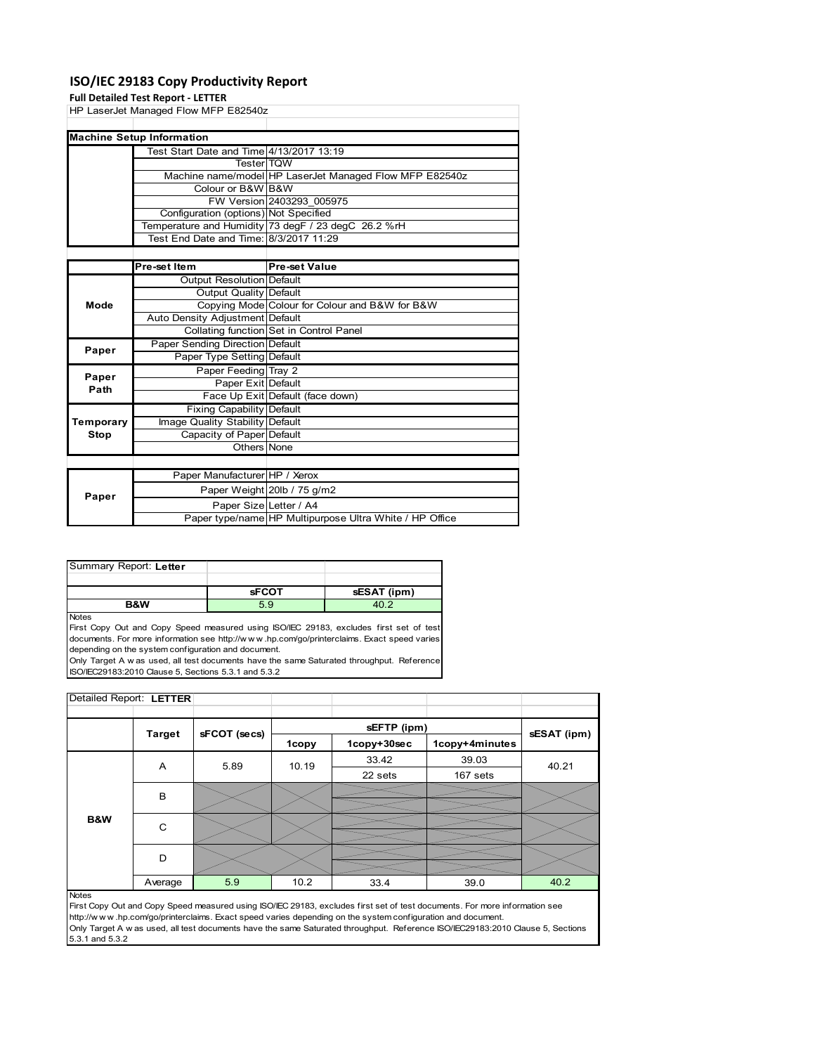# **ISO/IEC 29183 Copy Productivity Report**

# **Full Detailed Test R**

|             | Full Detailed Test Report - LETTER       |                                                         |
|-------------|------------------------------------------|---------------------------------------------------------|
|             | HP LaserJet Managed Flow MFP E82540z     |                                                         |
|             |                                          |                                                         |
|             | <b>Machine Setup Information</b>         |                                                         |
|             | Test Start Date and Time 4/13/2017 13:19 |                                                         |
|             | <b>Tester</b> TQW                        |                                                         |
|             |                                          | Machine name/model HP LaserJet Managed Flow MFP E82540z |
|             | Colour or B&W B&W                        |                                                         |
|             |                                          | FW Version 2403293_005975                               |
|             | Configuration (options) Not Specified    |                                                         |
|             |                                          | Temperature and Humidity 73 degF / 23 degC 26.2 %rH     |
|             | Test End Date and Time: 8/3/2017 11:29   |                                                         |
|             |                                          |                                                         |
|             | Pre-set Item                             | Pre-set Value                                           |
|             | Output Resolution Default                |                                                         |
|             | Output Quality Default                   |                                                         |
| Mode        |                                          | Copying Mode Colour for Colour and B&W for B&W          |
|             | Auto Density Adjustment Default          |                                                         |
|             |                                          | Collating function Set in Control Panel                 |
| Paper       | Paper Sending Direction Default          |                                                         |
|             | Paper Type Setting Default               |                                                         |
| Paper       | Paper Feeding Tray 2                     |                                                         |
| Path        | Paper Exit Default                       |                                                         |
|             |                                          | Face Up Exit Default (face down)                        |
|             | <b>Fixing Capability Default</b>         |                                                         |
| Temporary   | Image Quality Stability Default          |                                                         |
| <b>Stop</b> | Capacity of Paper Default                |                                                         |
|             | Others None                              |                                                         |
|             |                                          |                                                         |
|             |                                          | $\overline{\mathbf{u}}$                                 |

|       | Paper Manufacturer HP / Xerox |                                                         |
|-------|-------------------------------|---------------------------------------------------------|
| Paper |                               | Paper Weight 20lb / 75 g/m2                             |
|       | Paper Size Letter / A4        |                                                         |
|       |                               | Paper type/name HP Multipurpose Ultra White / HP Office |
|       |                               |                                                         |

| Summary Report: Letter |              |             |
|------------------------|--------------|-------------|
|                        |              |             |
|                        |              |             |
|                        | <b>SFCOT</b> | sESAT (ipm) |

Notes

First Copy Out and Copy Speed measured using ISO/IEC 29183, excludes first set of test documents. For more information see http://w w w .hp.com/go/printerclaims. Exact speed varies depending on the system configuration and document.

Only Target A w as used, all test documents have the same Saturated throughput. Reference ISO/IEC29183:2010 Clause 5, Sections 5.3.1 and 5.3.2

| Detailed Report: LETTER |               |              |       |             |                |             |
|-------------------------|---------------|--------------|-------|-------------|----------------|-------------|
|                         |               |              |       |             |                |             |
|                         | <b>Target</b> |              |       | sEFTP (ipm) |                | sESAT (ipm) |
|                         |               | sFCOT (secs) | 1copy | 1copy+30sec | 1copy+4minutes |             |
|                         | A             | 5.89         | 10.19 | 33.42       | 39.03          | 40.21       |
|                         |               |              |       | 22 sets     | 167 sets       |             |
|                         | B             |              |       |             |                |             |
|                         |               |              |       |             |                |             |
| B&W                     | C             |              |       |             |                |             |
|                         |               |              |       |             |                |             |
|                         | D             |              |       |             |                |             |
|                         |               |              |       |             |                |             |
|                         | Average       | 5.9          | 10.2  | 33.4        | 39.0           | 40.2        |

### Notes

First Copy Out and Copy Speed measured using ISO/IEC 29183, excludes first set of test documents. For more information see http://w w w .hp.com/go/printerclaims. Exact speed varies depending on the system configuration and document. Only Target A w as used, all test documents have the same Saturated throughput. Reference ISO/IEC29183:2010 Clause 5, Sections 5.3.1 and 5.3.2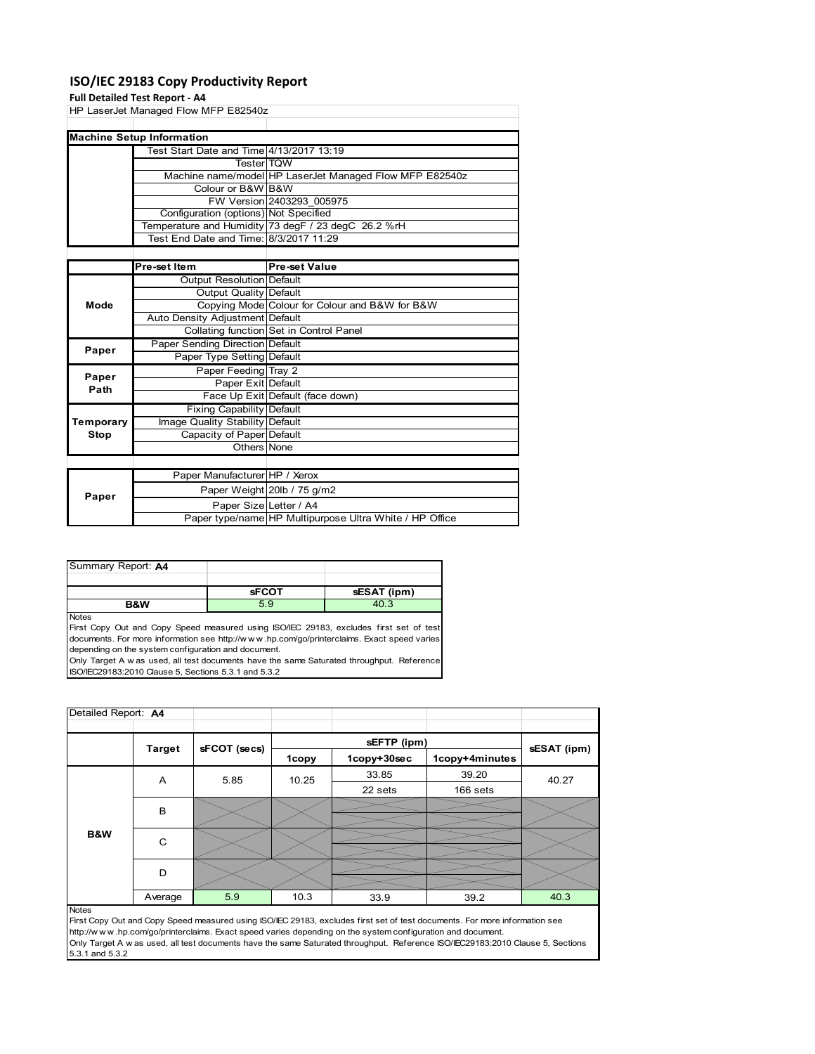# **ISO/IEC 29183 Copy Productivity Report**

### **Full Detailed Test Report ‐ A4**

| HP LaserJet Managed Flow MFP E82540z   |                                          |                                                         |  |  |
|----------------------------------------|------------------------------------------|---------------------------------------------------------|--|--|
|                                        |                                          |                                                         |  |  |
|                                        | <b>Machine Setup Information</b>         |                                                         |  |  |
|                                        | Test Start Date and Time 4/13/2017 13:19 |                                                         |  |  |
|                                        | <b>TesterITOW</b>                        |                                                         |  |  |
|                                        |                                          | Machine name/model HP LaserJet Managed Flow MFP E82540z |  |  |
|                                        | Colour or B&W B&W                        |                                                         |  |  |
|                                        |                                          | FW Version 2403293 005975                               |  |  |
|                                        | Configuration (options) Not Specified    |                                                         |  |  |
|                                        |                                          | Temperature and Humidity 73 degF / 23 degC 26.2 %rH     |  |  |
| Test End Date and Time: 8/3/2017 11:29 |                                          |                                                         |  |  |
|                                        |                                          |                                                         |  |  |
|                                        | Pre-set Item                             | <b>Pre-set Value</b>                                    |  |  |
|                                        | Output Resolution Default                |                                                         |  |  |
|                                        | Output Quality Default                   |                                                         |  |  |
| Mode                                   |                                          | Copying Mode Colour for Colour and B&W for B&W          |  |  |
|                                        | Auto Density Adjustment Default          |                                                         |  |  |
|                                        |                                          | Collating function Set in Control Panel                 |  |  |
| Paper                                  | Paper Sending Direction Default          |                                                         |  |  |
|                                        | Paper Type Setting Default               |                                                         |  |  |

| Paper     | Paper Feeding Tray 2             |                                                         |
|-----------|----------------------------------|---------------------------------------------------------|
| Path      | Paper Exit Default               |                                                         |
|           |                                  | Face Up Exit Default (face down)                        |
|           | <b>Fixing Capability Default</b> |                                                         |
| Temporary | Image Quality Stability Default  |                                                         |
| Stop      | Capacity of Paper Default        |                                                         |
|           | Others None                      |                                                         |
|           |                                  |                                                         |
|           | Paper Manufacturer HP / Xerox    |                                                         |
| Paper     |                                  | Paper Weight 20lb / 75 g/m2                             |
|           | Paper Size Letter / A4           |                                                         |
|           |                                  | Paper type/name HP Multipurpose Ultra White / HP Office |

| Summary Report: A4 |              |             |
|--------------------|--------------|-------------|
|                    |              |             |
|                    | <b>SFCOT</b> | sESAT (ipm) |
| B&W                | 5.9          | 40.3        |

Notes

First Copy Out and Copy Speed measured using ISO/IEC 29183, excludes first set of test documents. For more information see http://w w w .hp.com/go/printerclaims. Exact speed varies depending on the system configuration and document.

Only Target A w as used, all test documents have the same Saturated throughput. Reference ISO/IEC29183:2010 Clause 5, Sections 5.3.1 and 5.3.2

| Detailed Report: A4 |               |              |              |             |                |             |
|---------------------|---------------|--------------|--------------|-------------|----------------|-------------|
|                     |               |              |              | sEFTP (ipm) |                |             |
|                     | <b>Target</b> | sFCOT (secs) | <b>1copy</b> | 1copy+30sec | 1copy+4minutes | sESAT (ipm) |
|                     | Α             | 5.85         | 10.25        | 33.85       | 39.20          | 40.27       |
|                     |               |              |              | 22 sets     | 166 sets       |             |
|                     | B             |              |              |             |                |             |
| B&W                 | C             |              |              |             |                |             |
|                     | D             |              |              |             |                |             |
|                     | Average       | 5.9          | 10.3         | 33.9        | 39.2           | 40.3        |
| <b>Notes</b>        |               |              |              |             |                |             |

First Copy Out and Copy Speed measured using ISO/IEC 29183, excludes first set of test documents. For more information see http://w w w .hp.com/go/printerclaims. Exact speed varies depending on the system configuration and document. Only Target A w as used, all test documents have the same Saturated throughput. Reference ISO/IEC29183:2010 Clause 5, Sections 5.3.1 and 5.3.2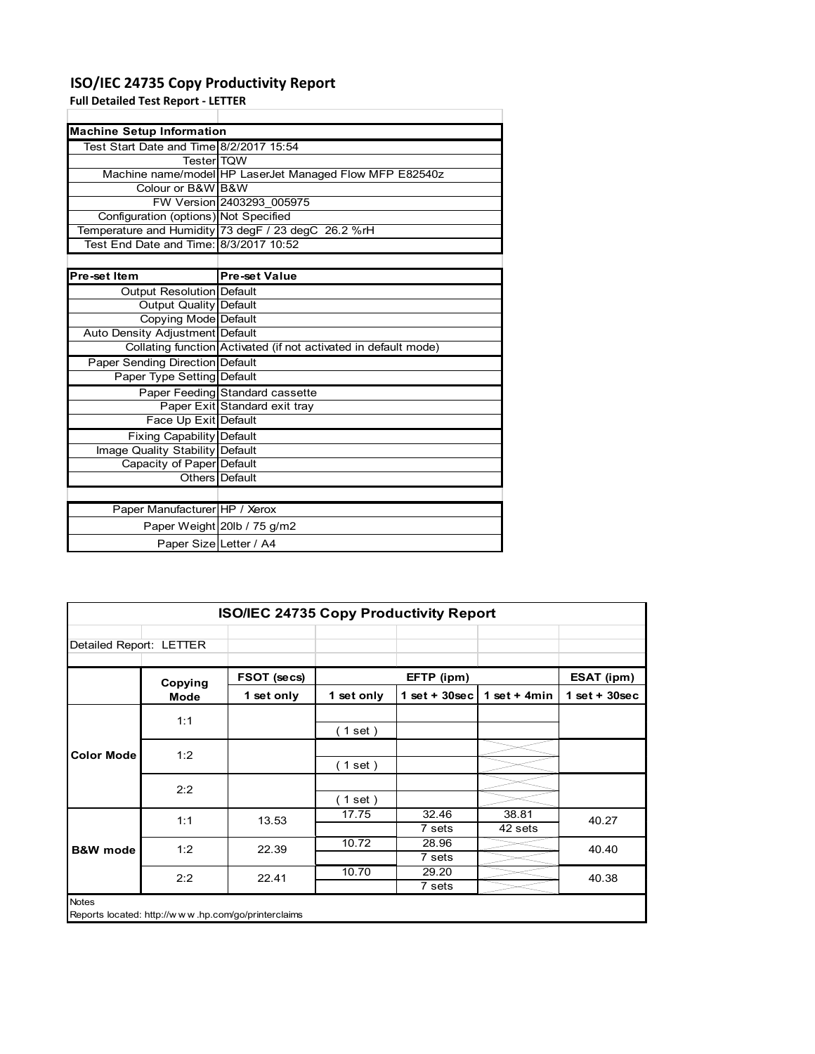# **ISO/IEC 24735 Copy Productivity Report**

Paper Weight 20lb / 75 g/m2 Paper Size Letter / A4

**Full Detailed Test Report ‐ LETTER**

| <b>Machine Setup Information</b>        |                                                                 |
|-----------------------------------------|-----------------------------------------------------------------|
| Test Start Date and Time 8/2/2017 15:54 |                                                                 |
| <b>TesterITQW</b>                       |                                                                 |
|                                         | Machine name/model HP LaserJet Managed Flow MFP E82540z         |
| Colour or B&W B&W                       |                                                                 |
|                                         | FW Version 2403293 005975                                       |
| Configuration (options) Not Specified   |                                                                 |
|                                         | Temperature and Humidity 73 degF / 23 degC 26.2 %rH             |
| Test End Date and Time: 8/3/2017 10:52  |                                                                 |
|                                         |                                                                 |
| Pre-set Item                            | <b>Pre-set Value</b>                                            |
| Output Resolution Default               |                                                                 |
| <b>Output Quality Default</b>           |                                                                 |
| Copying Mode Default                    |                                                                 |
| Auto Density Adjustment Default         |                                                                 |
|                                         | Collating function Activated (if not activated in default mode) |
| Paper Sending Direction Default         |                                                                 |
| Paper Type Setting Default              |                                                                 |
|                                         | Paper Feeding Standard cassette                                 |
|                                         | Paper Exit Standard exit tray                                   |
| Face Up Exit Default                    |                                                                 |
| <b>Fixing Capability Default</b>        |                                                                 |
| Image Quality Stability Default         |                                                                 |
| Capacity of Paper Default               |                                                                 |
|                                         | Others Default                                                  |
|                                         |                                                                 |
| Paper Manufacturer HP / Xerox           |                                                                 |

|                         | <b>ISO/IEC 24735 Copy Productivity Report</b>       |             |            |                  |                  |                 |  |  |
|-------------------------|-----------------------------------------------------|-------------|------------|------------------|------------------|-----------------|--|--|
| Detailed Report: LETTER |                                                     |             |            |                  |                  |                 |  |  |
|                         | Copying                                             | FSOT (secs) |            | EFTP (ipm)       |                  | ESAT (ipm)      |  |  |
|                         | <b>Mode</b>                                         | 1 set only  | 1 set only | 1 set + $30$ sec | 1 set + $4min$   | $1$ set + 30sec |  |  |
| <b>Color Mode</b>       | 1:1                                                 |             | (1 set)    |                  |                  |                 |  |  |
|                         | 1:2                                                 |             | (1 set )   |                  |                  |                 |  |  |
|                         | 2:2                                                 |             | (1 set)    |                  |                  |                 |  |  |
|                         | 1:1                                                 | 13.53       | 17.75      | 32.46<br>7 sets  | 38.81<br>42 sets | 40.27           |  |  |
| <b>B&amp;W</b> mode     | 1:2                                                 | 22.39       | 10.72      | 28.96<br>7 sets  |                  | 40.40           |  |  |
|                         | 2:2                                                 | 22.41       | 10.70      | 29.20<br>7 sets  |                  | 40.38           |  |  |
| <b>Notes</b>            | Reports located: http://www.hp.com/go/printerclaims |             |            |                  |                  |                 |  |  |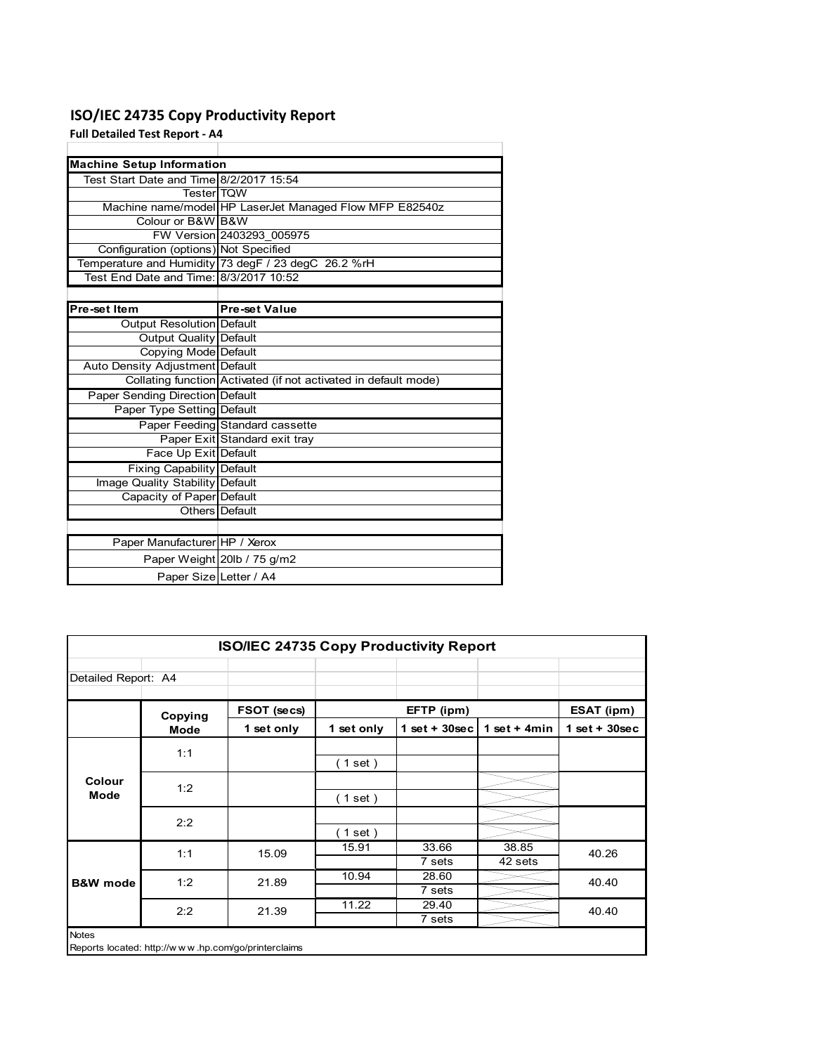# **ISO/IEC 24735 Copy Productivity Report**

**Full Detailed Test Report ‐ A4**

| <b>Machine Setup Information</b>        |                                                                 |
|-----------------------------------------|-----------------------------------------------------------------|
| Test Start Date and Time 8/2/2017 15:54 |                                                                 |
| <b>Tester</b> TOW                       |                                                                 |
|                                         | Machine name/model HP LaserJet Managed Flow MFP E82540z         |
| Colour or B&W B&W                       |                                                                 |
|                                         | FW Version 2403293 005975                                       |
| Configuration (options) Not Specified   |                                                                 |
|                                         | Temperature and Humidity 73 degF / 23 degC 26.2 %rH             |
| Test End Date and Time: 8/3/2017 10:52  |                                                                 |
|                                         |                                                                 |
| Pre-set Item                            | <b>Pre-set Value</b>                                            |
| Output Resolution Default               |                                                                 |
| <b>Output Quality Default</b>           |                                                                 |
| Copying Mode Default                    |                                                                 |
| Auto Density Adjustment Default         |                                                                 |
|                                         | Collating function Activated (if not activated in default mode) |
| <b>Paper Sending Direction Default</b>  |                                                                 |
| Paper Type Setting Default              |                                                                 |
|                                         | Paper Feeding Standard cassette                                 |
|                                         | Paper Exit Standard exit tray                                   |
| Face Up Exit Default                    |                                                                 |
| <b>Fixing Capability Default</b>        |                                                                 |
| Image Quality Stability Default         |                                                                 |
| Capacity of Paper Default               |                                                                 |
|                                         | Others   Default                                                |
|                                         |                                                                 |
| Paper Manufacturer HP / Xerox           |                                                                 |
|                                         | Paper Weight 20lb / 75 g/m2                                     |
| Paper Size Letter / A4                  |                                                                 |

| <b>ISO/IEC 24735 Copy Productivity Report</b> |                                                     |             |            |                 |                  |                 |  |  |  |
|-----------------------------------------------|-----------------------------------------------------|-------------|------------|-----------------|------------------|-----------------|--|--|--|
| Detailed Report: A4                           |                                                     |             |            |                 |                  |                 |  |  |  |
|                                               | Copying                                             | FSOT (secs) |            | EFTP (ipm)      |                  | ESAT (ipm)      |  |  |  |
|                                               | <b>Mode</b>                                         | 1 set only  | 1 set only | $1$ set + 30sec | 1 set + $4min$   | $1$ set + 30sec |  |  |  |
|                                               | 1:1                                                 |             | (1 set)    |                 |                  |                 |  |  |  |
| Colour<br><b>Mode</b>                         | 1:2                                                 |             | (1 set )   |                 |                  |                 |  |  |  |
|                                               | 2:2                                                 |             | (1 set)    |                 |                  |                 |  |  |  |
|                                               | 1:1                                                 | 15.09       | 15.91      | 33.66<br>7 sets | 38.85<br>42 sets | 40.26           |  |  |  |
| <b>B&amp;W</b> mode                           | 1:2                                                 | 21.89       | 10.94      | 28.60<br>7 sets |                  | 40.40           |  |  |  |
|                                               | 2:2                                                 | 21.39       | 11.22      | 29.40<br>7 sets |                  | 40.40           |  |  |  |
| <b>Notes</b>                                  | Reports located: http://www.hp.com/go/printerclaims |             |            |                 |                  |                 |  |  |  |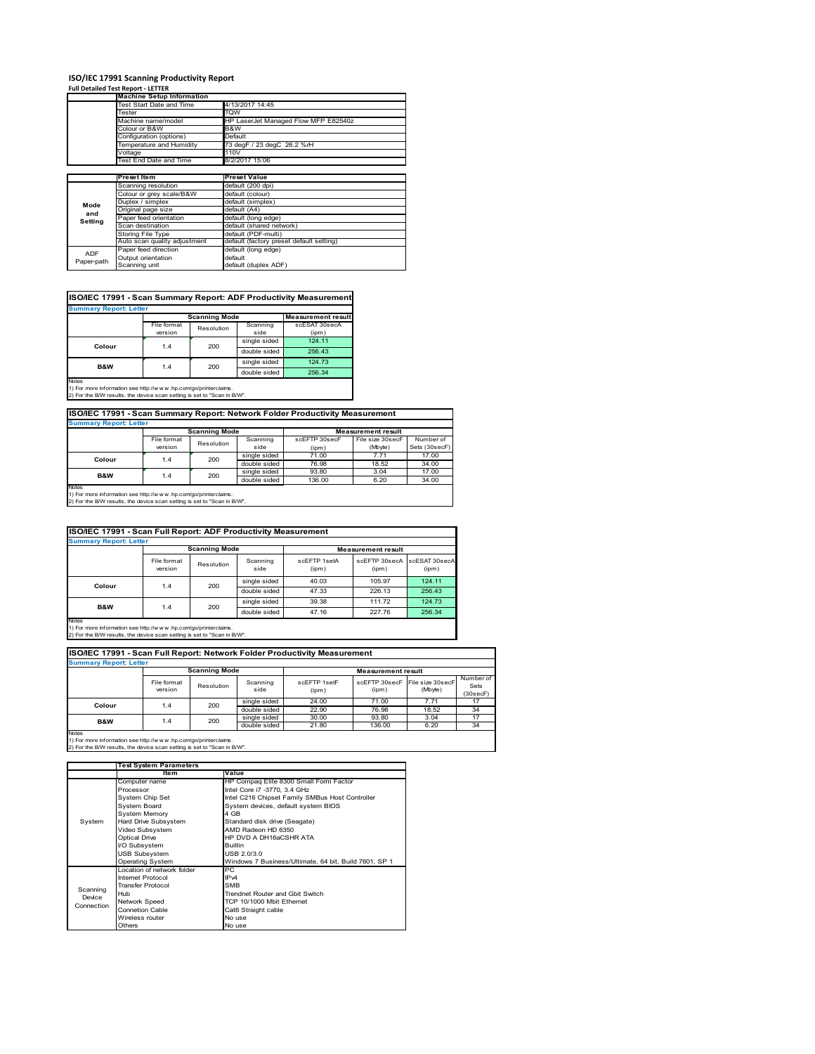# **ISO/IEC 17991 Scanning Productivity Report Full Detailed Test Report ‐ LETTER Machine Setup Information**

|            | <b>Machine Setup Information</b> |                                          |  |  |  |
|------------|----------------------------------|------------------------------------------|--|--|--|
|            | Test Start Date and Time         | 4/13/2017 14:45                          |  |  |  |
|            | Tester                           | TQW                                      |  |  |  |
|            | Machine name/model               | HP LaserJet Managed Flow MFP E82540z     |  |  |  |
|            | Colour or B&W                    | B&W                                      |  |  |  |
|            | Configuration (options)          | Default                                  |  |  |  |
|            | Temperature and Humidity         | 73 degF / 23 degC 26.2 %rH               |  |  |  |
|            | Voltage                          | 110V                                     |  |  |  |
|            | Test End Date and Time           | 8/2/2017 15:06                           |  |  |  |
|            |                                  |                                          |  |  |  |
|            | <b>Preset Item</b>               | <b>Preset Value</b>                      |  |  |  |
|            | Scanning resolution              | default (200 dpi)                        |  |  |  |
|            | Colour or grey scale/B&W         | default (colour)                         |  |  |  |
| Mode       | Duplex / simplex                 | default (simplex)                        |  |  |  |
| and        | Original page size               | default (A4)                             |  |  |  |
| Setting    | Paper feed orientation           | default (long edge)                      |  |  |  |
|            | Scan destination                 | default (shared network)                 |  |  |  |
|            | Storing File Type                | default (PDF-multi)                      |  |  |  |
|            | Auto scan quality adjustment     | default (factory preset default setting) |  |  |  |
| <b>ADF</b> | Paper feed direction             | default (long edge)                      |  |  |  |
|            | Output orientation               | default                                  |  |  |  |
| Paper-path | Scanning unit                    | default (duplex ADF)                     |  |  |  |

|                                                                                    |             | <b>Scanning Mode</b> |              |               |  |
|------------------------------------------------------------------------------------|-------------|----------------------|--------------|---------------|--|
|                                                                                    | File format | Resolution           | Scanning     | scESAT 30secA |  |
|                                                                                    | version     |                      | side         | (ipm)         |  |
| Colour                                                                             | 1.4         | 200                  | single sided | 124.11        |  |
|                                                                                    |             |                      | double sided | 256.43        |  |
| <b>B&amp;W</b>                                                                     | 1.4         | 200                  | single sided | 124.73        |  |
|                                                                                    |             |                      | double sided | 256.34        |  |
| <b>Notes</b><br>1) For more information see http://w w w .hp.com/go/printerclaims. |             |                      |              |               |  |

## **ISO/IEC 17991 - Scan Summary Report: Network Folder Productivity Measurement**

| <b>Summary Report: Letter</b> |                      |            |              |                           |                  |               |  |
|-------------------------------|----------------------|------------|--------------|---------------------------|------------------|---------------|--|
|                               | <b>Scanning Mode</b> |            |              | <b>Measurement result</b> |                  |               |  |
|                               | File format          | Resolution | Scanning     | scEFTP 30secF             | File size 30secF | Number of     |  |
|                               | version              |            | side         | (ipm)                     | (Mbyte)          | Sets (30secF) |  |
| Colour                        | 1.4                  | 200        | single sided | 71.00                     | 7.71             | 17.00         |  |
|                               |                      |            | double sided | 76.98                     | 18.52            | 34.00         |  |
| B&W                           | 1.4                  | 200        | single sided | 93.80                     | 3.04             | 17.00         |  |
|                               |                      |            | double sided | 136.00                    | 6.20             | 34.00         |  |
| <b>Notes</b>                  |                      |            |              |                           |                  |               |  |

┓

Notes 1) For more information see http://w w w .hp.com/go/printerclaims. 2) For the B/W results, the device scan setting is set to "Scan in B/W".

| ISO/IEC 17991 - Scan Full Report: ADF Productivity Measurement |                        |            |                  |                       |                           |                        |  |  |
|----------------------------------------------------------------|------------------------|------------|------------------|-----------------------|---------------------------|------------------------|--|--|
| <b>Summary Report: Letter</b>                                  |                        |            |                  |                       |                           |                        |  |  |
|                                                                | <b>Scanning Mode</b>   |            |                  |                       | <b>Measurement result</b> |                        |  |  |
|                                                                | File format<br>version | Resolution | Scanning<br>side | scFFTP 1setA<br>(ipm) | scEFTP 30secA<br>(ipm)    | scESAT 30secA<br>(ipm) |  |  |
| Colour                                                         | 1.4                    |            | single sided     | 40.03                 | 105.97                    | 124.11                 |  |  |
|                                                                | 200                    |            | double sided     | 47.33                 | 226.13                    | 256.43                 |  |  |
| <b>B&amp;W</b>                                                 | 1.4                    | 200        | single sided     | 39.38                 | 111.72                    | 124.73                 |  |  |
|                                                                |                        |            | double sided     | 47.16                 | 227.76                    | 256.34                 |  |  |
| Notes                                                          |                        |            |                  |                       |                           |                        |  |  |

Notes 1) For more information see http://w w w .hp.com/go/printerclaims. 2) For the B/W results, the device scan setting is set to "Scan in B/W".

| ISO/IEC 17991 - Scan Full Report: Network Folder Productivity Measurement |                        |            |                  |                           |                        |                             |                               |  |  |
|---------------------------------------------------------------------------|------------------------|------------|------------------|---------------------------|------------------------|-----------------------------|-------------------------------|--|--|
| <b>Summary Report: Letter</b>                                             |                        |            |                  |                           |                        |                             |                               |  |  |
|                                                                           | <b>Scanning Mode</b>   |            |                  | <b>Measurement result</b> |                        |                             |                               |  |  |
|                                                                           | File format<br>version | Resolution | Scanning<br>side | scEETP 1setE<br>(ipm)     | scEFTP 30secF<br>(ipm) | File size 30secF<br>(Mbyte) | Number of<br>Sets<br>(30secF) |  |  |
| Colour                                                                    | 1.4                    | 200        | single sided     | 24.00                     | 71.00                  | 7.71                        | 17                            |  |  |
|                                                                           |                        |            | double sided     | 22.90                     | 76.98                  | 18.52                       | 34                            |  |  |
| <b>B&amp;W</b>                                                            | 1.4                    | 200        | single sided     | 30.00                     | 93.80                  | 3.04                        | 17                            |  |  |
|                                                                           |                        |            | double sided     | 21.80                     | 136.00                 | 6.20                        | 34                            |  |  |
| <b>Notes</b>                                                              |                        |            |                  |                           |                        |                             |                               |  |  |

|            | <b>Test System Parameters</b> |                                                       |  |  |  |
|------------|-------------------------------|-------------------------------------------------------|--|--|--|
|            | <b>Item</b>                   | Value                                                 |  |  |  |
|            | Computer name                 | HP Compaq Elite 8300 Small Form Factor                |  |  |  |
|            | Processor                     | Intel Core i7 -3770, 3.4 GHz                          |  |  |  |
|            | System Chip Set               | Intel C216 Chipset Family SMBus Host Controller       |  |  |  |
|            | <b>System Board</b>           | System devices, default system BIOS                   |  |  |  |
|            | <b>System Memory</b>          | 4 GB                                                  |  |  |  |
| System     | Hard Drive Subsystem          | Standard disk drive (Seagate)                         |  |  |  |
|            | Video Subsystem               | AMD Radeon HD 6350                                    |  |  |  |
|            | Optical Drive                 | HP DVD A DH16aCSHR ATA                                |  |  |  |
|            | I/O Subsystem                 | <b>Builtin</b>                                        |  |  |  |
|            | <b>USB Subsystem</b>          | USB 2.0/3.0                                           |  |  |  |
|            | <b>Operating System</b>       | Windows 7 Business/Ultimate, 64 bit, Build 7601, SP 1 |  |  |  |
|            | I ocation of network folder   | PC.                                                   |  |  |  |
|            | Internet Protocol             | IP <sub>v4</sub>                                      |  |  |  |
| Scanning   | <b>Transfer Protocol</b>      | <b>SMB</b>                                            |  |  |  |
| Device     | Hub                           | Trendnet Router and Gbit Switch                       |  |  |  |
| Connection | Network Speed                 | TCP 10/1000 Mbit Ethernet                             |  |  |  |
|            | Connetion Cable               | Cat6 Straight cable                                   |  |  |  |
|            | Wireless router               | No use                                                |  |  |  |
|            | Others                        | No use                                                |  |  |  |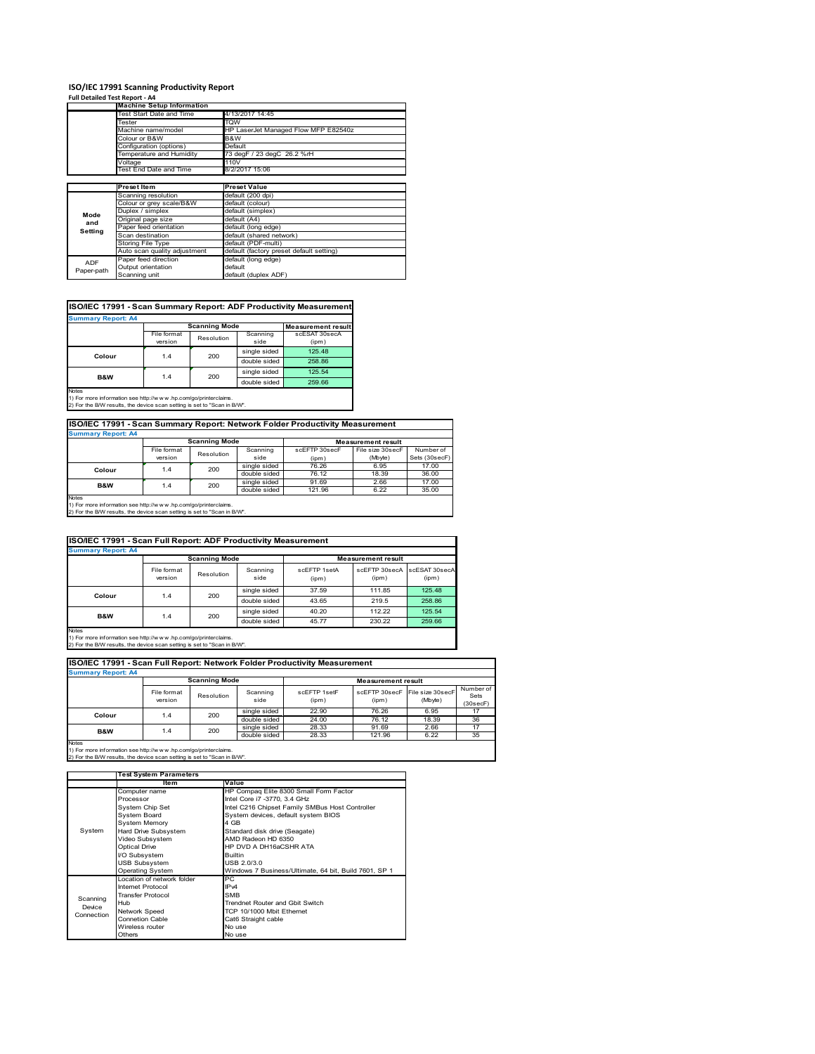# **ISO/IEC 17991 Scanning Productivity Report**

| Full Detailed Test Report - A4 |                                  |                                          |
|--------------------------------|----------------------------------|------------------------------------------|
|                                | <b>Machine Setup Information</b> |                                          |
|                                | Test Start Date and Time         | 4/13/2017 14:45                          |
|                                | Tester                           | TQW                                      |
|                                | Machine name/model               | HP LaserJet Managed Flow MFP E82540z     |
|                                | Colour or B&W                    | B&W                                      |
|                                | Configuration (options)          | Default                                  |
|                                | Temperature and Humidity         | 73 degF / 23 degC 26.2 %rH               |
|                                | Voltage                          | 110V                                     |
|                                | Test End Date and Time           | 8/2/2017 15:06                           |
|                                |                                  |                                          |
|                                | <b>Preset Item</b>               | <b>Preset Value</b>                      |
|                                | Scanning resolution              | default (200 dpi)                        |
|                                | Colour or grey scale/B&W         | default (colour)                         |
| Mode                           | Duplex / simplex                 | default (simplex)                        |
| and                            | Original page size               | default (A4)                             |
| Setting                        | Paper feed orientation           | default (long edge)                      |
|                                | Scan destination                 | default (shared network)                 |
|                                | Storing File Type                | default (PDF-multi)                      |
|                                | Auto scan quality adjustment     | default (factory preset default setting) |
| <b>ADF</b>                     | Paper feed direction             | default (long edge)                      |
| Paper-path                     | Output orientation               | default                                  |
|                                | Scanning unit                    | default (duplex ADF)                     |

# **ISO/IEC 17991 - Scan Summary Report: ADF Productivity Measurement**

| <b>Summary Report: A4</b> |                           |                           |              |               |  |  |  |
|---------------------------|---------------------------|---------------------------|--------------|---------------|--|--|--|
|                           | <b>Scanning Mode</b>      | <b>Measurement result</b> |              |               |  |  |  |
|                           | File format<br>Resolution |                           | Scanning     | scESAT 30secA |  |  |  |
|                           | version                   |                           | side         | (ipm)         |  |  |  |
| Colour                    | 1.4                       | 200                       | single sided | 125.48        |  |  |  |
|                           |                           |                           | double sided | 258.86        |  |  |  |
| <b>B&amp;W</b>            | 1.4                       | 200                       | single sided | 125.54        |  |  |  |
|                           |                           |                           | double sided | 259.66        |  |  |  |
| <b>Notes</b>              |                           |                           |              |               |  |  |  |

1) For more information see http://w w w .hp.com/go/printerclaims. 2) For the B/W results, the device scan setting is set to "Scan in B/W".

# **ISO/IEC 17991 - Scan Summary Report: Network Folder Productivity Measurement Summary Report: A4**

| ISummary Report: A4 |                      |            |              |                           |                  |               |  |
|---------------------|----------------------|------------|--------------|---------------------------|------------------|---------------|--|
|                     | <b>Scanning Mode</b> |            |              | <b>Measurement result</b> |                  |               |  |
|                     | File format          | Resolution | Scanning     | scEFTP 30secF             | File size 30secF | Number of     |  |
|                     | version              |            | side         | (ipm)                     | (Mbyte)          | Sets (30secF) |  |
| Colour              | 1.4                  | 200        | single sided | 76.26                     | 6.95             | 17.00         |  |
|                     |                      |            | double sided | 76.12                     | 18.39            | 36.00         |  |
| <b>B&amp;W</b>      | 1.4                  | 200        | single sided | 91.69                     | 2.66             | 17.00         |  |
|                     |                      |            | double sided | 121.96                    | 6.22             | 35.00         |  |
| Notes               |                      |            |              |                           |                  |               |  |

Notes 1) For more information see http://w w w .hp.com/go/printerclaims. 2) For the B/W results, the device scan setting is set to "Scan in B/W".

| ISO/IEC 17991 - Scan Full Report: ADF Productivity Measurement |                        |                      |                  |                       |                           |                        |  |  |
|----------------------------------------------------------------|------------------------|----------------------|------------------|-----------------------|---------------------------|------------------------|--|--|
| <b>Summary Report: A4</b>                                      |                        |                      |                  |                       |                           |                        |  |  |
|                                                                |                        | <b>Scanning Mode</b> |                  |                       | <b>Measurement result</b> |                        |  |  |
|                                                                | File format<br>version | Resolution           | Scanning<br>side | scEFTP 1setA<br>(ipm) | scEFTP 30secA<br>(ipm)    | scESAT 30secA<br>(ipm) |  |  |
| Colour                                                         | 200<br>1.4             |                      | single sided     | 37.59                 | 111.85                    | 125.48                 |  |  |
|                                                                |                        | double sided         | 43.65            | 219.5                 | 258.86                    |                        |  |  |
| B&W                                                            |                        | 200                  | single sided     | 40.20                 | 112.22                    | 125.54                 |  |  |
|                                                                | 1.4                    |                      | double sided     | 45.77                 | 230.22                    | 259.66                 |  |  |
| Notes                                                          |                        |                      |                  |                       |                           |                        |  |  |

Notes 1) For more information see http://w w w .hp.com/go/printerclaims. 2) For the B/W results, the device scan setting is set to "Scan in B/W".

| ISO/IEC 17991 - Scan Full Report: Network Folder Productivity Measurement |                        |                      |                  |                       |                           |                                           |                               |  |  |
|---------------------------------------------------------------------------|------------------------|----------------------|------------------|-----------------------|---------------------------|-------------------------------------------|-------------------------------|--|--|
| <b>Summary Report: A4</b>                                                 |                        |                      |                  |                       |                           |                                           |                               |  |  |
|                                                                           |                        | <b>Scanning Mode</b> |                  |                       | <b>Measurement result</b> |                                           |                               |  |  |
|                                                                           | File format<br>version | Resolution           | Scanning<br>side | scFFTP 1setF<br>(ipm) | (ipm)                     | scEFTP 30secF File size 30secF<br>(Mbyte) | Number of<br>Sets<br>(30secF) |  |  |
| Colour                                                                    | 200<br>1.4             |                      | single sided     | 22.90                 | 76.26                     | 6.95                                      | 17                            |  |  |
|                                                                           |                        |                      | double sided     | 24.00                 | 76.12                     | 18.39                                     | 36                            |  |  |
| <b>B&amp;W</b>                                                            | 1.4                    | 200                  | single sided     | 28.33                 | 91.69                     | 2.66                                      | 17                            |  |  |
|                                                                           |                        |                      | double sided     | 28.33                 | 121.96                    | 6.22                                      | 35                            |  |  |
| <b>Notes</b>                                                              |                        |                      |                  |                       |                           |                                           |                               |  |  |

|            | <b>Test System Parameters</b> |                                                       |  |  |
|------------|-------------------------------|-------------------------------------------------------|--|--|
|            | ltem                          | Value                                                 |  |  |
|            | Computer name                 | HP Compaq Elite 8300 Small Form Factor                |  |  |
|            | Processor                     | Intel Core i7 -3770, 3.4 GHz                          |  |  |
|            | System Chip Set               | Intel C216 Chipset Family SMBus Host Controller       |  |  |
|            | System Board                  | System devices, default system BIOS                   |  |  |
|            | <b>System Memory</b>          | 4 GB                                                  |  |  |
| System     | Hard Drive Subsystem          | Standard disk drive (Seagate)                         |  |  |
|            | Video Subsystem               | AMD Radeon HD 6350                                    |  |  |
|            | <b>Optical Drive</b>          | HP DVD A DH16aCSHR ATA                                |  |  |
|            | I/O Subsystem                 | <b>Builtin</b>                                        |  |  |
|            | <b>USB Subsystem</b>          | USB 2.0/3.0                                           |  |  |
|            | <b>Operating System</b>       | Windows 7 Business/Ultimate, 64 bit, Build 7601, SP 1 |  |  |
|            | I ocation of network folder   | РC                                                    |  |  |
|            | <b>Internet Protocol</b>      | IP <sub>v4</sub>                                      |  |  |
| Scanning   | <b>Transfer Protocol</b>      | <b>SMB</b>                                            |  |  |
| Device     | Hub                           | Trendnet Router and Gbit Switch                       |  |  |
| Connection | Network Speed                 | TCP 10/1000 Mbit Ethernet                             |  |  |
|            | <b>Connetion Cable</b>        | Cat6 Straight cable                                   |  |  |
|            | Wireless router               | No use                                                |  |  |
|            | Others                        | No use                                                |  |  |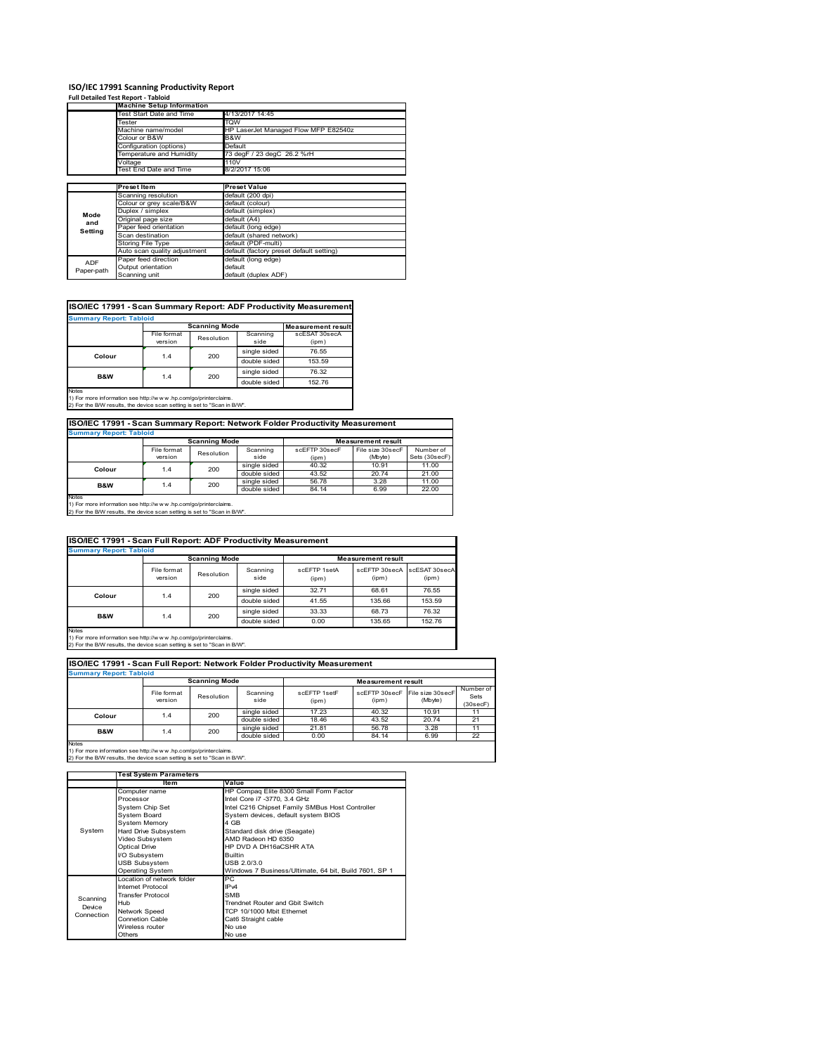## **ISO/IEC 17991 Scanning Productivity Report**

|            | <b>Full Detailed Test Report - Tabloid</b> |                                          |
|------------|--------------------------------------------|------------------------------------------|
|            | <b>Machine Setup Information</b>           |                                          |
|            | Test Start Date and Time                   | 4/13/2017 14:45                          |
|            | Tester                                     | <b>TOW</b>                               |
|            | Machine name/model                         | HP LaserJet Managed Flow MFP E82540z     |
|            | Colour or B&W                              | B&W                                      |
|            | Configuration (options)                    | Default                                  |
|            | Temperature and Humidity                   | 73 degF / 23 degC 26.2 %rH               |
|            | Voltage                                    | 110V                                     |
|            | Test End Date and Time                     | 8/2/2017 15:06                           |
|            |                                            |                                          |
|            | <b>Preset Item</b>                         | <b>Preset Value</b>                      |
|            | Scanning resolution                        | default (200 dpi)                        |
|            | Colour or grey scale/B&W                   | default (colour)                         |
| Mode       | Duplex / simplex                           | default (simplex)                        |
| and        | Original page size                         | default (A4)                             |
| Setting    | Paper feed orientation                     | default (long edge)                      |
|            | Scan destination                           | default (shared network)                 |
|            | <b>Storing File Type</b>                   | default (PDF-multi)                      |
|            | Auto scan quality adjustment               | default (factory preset default setting) |
| ADF        | Paper feed direction                       | default (long edge)                      |
| Paper-path | Output orientation                         | default                                  |
|            | Or a market of the contract of             |                                          |

# **ISO/IEC 17991 - Scan Summary Report: ADF Productivity Measurement**

| <b>Summary Report: Tabloid</b> |                        |                      |                  |                           |  |  |
|--------------------------------|------------------------|----------------------|------------------|---------------------------|--|--|
|                                |                        | <b>Scanning Mode</b> |                  | <b>Measurement result</b> |  |  |
|                                | File format<br>version | Resolution           | Scanning<br>side | scESAT 30secA<br>(ipm)    |  |  |
| Colour                         |                        | 200                  | single sided     | 76.55                     |  |  |
|                                | 1.4                    |                      | double sided     | 153.59                    |  |  |
| <b>B&amp;W</b>                 | 1.4                    | 200                  | single sided     | 76.32                     |  |  |
|                                |                        |                      | double sided     | 152.76                    |  |  |
| <b>Notes</b>                   |                        |                      |                  |                           |  |  |

Notes 1) For more information see http://w w w .hp.com/go/printerclaims. 2) For the B/W results, the device scan setting is set to "Scan in B/W".

Output orientation<br>Scanning unit

# **ISO/IEC 17991 - Scan Summary Report: Network Folder Productivity Measurement**

default (duplex ADF)

| <b>Summary Report: Tabloid</b> |                      |            |              |                           |                  |               |  |
|--------------------------------|----------------------|------------|--------------|---------------------------|------------------|---------------|--|
|                                | <b>Scanning Mode</b> |            |              | <b>Measurement result</b> |                  |               |  |
|                                | File format          | Resolution | Scanning     | scEFTP 30secF             | File size 30secF | Number of     |  |
|                                | version              |            | side         | (ipm)                     | (Mbyte)          | Sets (30secF) |  |
| Colour                         | 1.4                  | 200        | single sided | 40.32                     | 10.91            | 11.00         |  |
|                                |                      |            | double sided | 43.52                     | 20.74            | 21.00         |  |
| <b>B&amp;W</b>                 | 1.4                  | 200        | single sided | 56.78                     | 3.28             | 11.00         |  |
|                                |                      |            | double sided | 84.14                     | 6.99             | 22.00         |  |
| Notes                          |                      |            |              |                           |                  |               |  |

Notes 1) For more information see http://w w w .hp.com/go/printerclaims. 2) For the B/W results, the device scan setting is set to "Scan in B/W".

| <b>ISO/IEC 17991 - Scan Full Report: ADF Productivity Measurement</b> |                        |                      |                  |                       |                                      |        |  |  |
|-----------------------------------------------------------------------|------------------------|----------------------|------------------|-----------------------|--------------------------------------|--------|--|--|
| <b>Summary Report: Tabloid</b>                                        |                        |                      |                  |                       |                                      |        |  |  |
|                                                                       |                        | <b>Scanning Mode</b> |                  |                       | <b>Measurement result</b>            |        |  |  |
|                                                                       | File format<br>version | Resolution           | Scanning<br>side | scFFTP 1setA<br>(ipm) | scEFTP 30secA scESAT 30secA<br>(ipm) | (ipm)  |  |  |
| Colour                                                                | 1.4                    | 200                  | single sided     | 32.71                 | 68.61                                | 76.55  |  |  |
|                                                                       |                        |                      | double sided     | 41.55                 | 135.66                               | 153.59 |  |  |
|                                                                       | <b>B&amp;W</b><br>1.4  | 200                  | single sided     | 33.33                 | 68.73                                | 76.32  |  |  |
|                                                                       |                        |                      | double sided     | 0.00                  | 135.65                               | 152.76 |  |  |
| Notes                                                                 |                        |                      |                  |                       |                                      |        |  |  |

Notes 1) For more information see http://w w w .hp.com/go/printerclaims. 2) For the B/W results, the device scan setting is set to "Scan in B/W".

| ISO/IEC 17991 - Scan Full Report: Network Folder Productivity Measurement |                        |                      |                  |                       |                                         |         |                               |  |
|---------------------------------------------------------------------------|------------------------|----------------------|------------------|-----------------------|-----------------------------------------|---------|-------------------------------|--|
| <b>Summary Report: Tabloid</b>                                            |                        |                      |                  |                       |                                         |         |                               |  |
|                                                                           |                        | <b>Scanning Mode</b> |                  |                       | <b>Measurement result</b>               |         |                               |  |
|                                                                           | File format<br>version | Resolution           | Scanning<br>side | scFFTP 1setF<br>(ipm) | scEFTP 30secF File size 30secF<br>(ipm) | (Mbyte) | Number of<br>Sets<br>(30secF) |  |
| Colour                                                                    | 1.4                    | 200                  | single sided     | 17.23                 | 40.32                                   | 10.91   | 11                            |  |
|                                                                           |                        |                      | double sided     | 18.46                 | 43.52                                   | 20.74   | 21                            |  |
| <b>B&amp;W</b>                                                            | 1.4                    | 200                  | single sided     | 21.81                 | 56.78                                   | 3.28    | 11                            |  |
|                                                                           |                        |                      | double sided     | 0.00                  | 84.14                                   | 6.99    | 22                            |  |
| <b>Notes</b>                                                              |                        |                      |                  |                       |                                         |         |                               |  |

|            | <b>Test System Parameters</b> |                                                       |  |  |  |
|------------|-------------------------------|-------------------------------------------------------|--|--|--|
|            | Item                          | Value                                                 |  |  |  |
|            | Computer name                 | HP Compaq Elite 8300 Small Form Factor                |  |  |  |
|            | Processor                     | Intel Core i7 -3770, 3.4 GHz                          |  |  |  |
|            | System Chip Set               | Intel C216 Chipset Family SMBus Host Controller       |  |  |  |
|            | System Board                  | System devices, default system BIOS                   |  |  |  |
|            | <b>System Memory</b>          | 4 GB                                                  |  |  |  |
| System     | Hard Drive Subsystem          | Standard disk drive (Seagate)                         |  |  |  |
|            | Video Subsystem               | AMD Radeon HD 6350                                    |  |  |  |
|            | <b>Optical Drive</b>          | HP DVD A DH16aCSHR ATA                                |  |  |  |
|            | I/O Subsystem                 | <b>Builtin</b>                                        |  |  |  |
|            | <b>USB Subsystem</b>          | USB 2.0/3.0                                           |  |  |  |
|            | <b>Operating System</b>       | Windows 7 Business/Ultimate, 64 bit, Build 7601, SP 1 |  |  |  |
|            | I ocation of network folder   | РC                                                    |  |  |  |
|            | Internet Protocol             | IP <sub>v4</sub>                                      |  |  |  |
| Scanning   | <b>Transfer Protocol</b>      | <b>SMB</b>                                            |  |  |  |
| Device     | Hub                           | Trendnet Router and Gbit Switch                       |  |  |  |
| Connection | Network Speed                 | TCP 10/1000 Mbit Ethernet                             |  |  |  |
|            | <b>Connetion Cable</b>        | Cat6 Straight cable                                   |  |  |  |
|            | Wireless router               | No use                                                |  |  |  |
|            | Others                        | No use                                                |  |  |  |